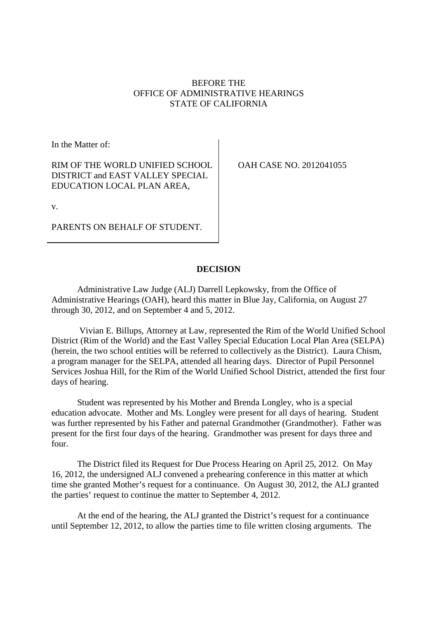# BEFORE THE OFFICE OF ADMINISTRATIVE HEARINGS STATE OF CALIFORNIA

In the Matter of:

RIM OF THE WORLD UNIFIED SCHOOL DISTRICT and EAST VALLEY SPECIAL EDUCATION LOCAL PLAN AREA,

OAH CASE NO. 2012041055

v.

PARENTS ON BEHALF OF STUDENT.

## **DECISION**

Administrative Law Judge (ALJ) Darrell Lepkowsky, from the Office of Administrative Hearings (OAH), heard this matter in Blue Jay, California, on August 27 through 30, 2012, and on September 4 and 5, 2012.

Vivian E. Billups, Attorney at Law, represented the Rim of the World Unified School District (Rim of the World) and the East Valley Special Education Local Plan Area (SELPA) (herein, the two school entities will be referred to collectively as the District). Laura Chism, a program manager for the SELPA, attended all hearing days. Director of Pupil Personnel Services Joshua Hill, for the Rim of the World Unified School District, attended the first four days of hearing.

Student was represented by his Mother and Brenda Longley, who is a special education advocate. Mother and Ms. Longley were present for all days of hearing. Student was further represented by his Father and paternal Grandmother (Grandmother). Father was present for the first four days of the hearing. Grandmother was present for days three and four.

The District filed its Request for Due Process Hearing on April 25, 2012. On May 16, 2012, the undersigned ALJ convened a prehearing conference in this matter at which time she granted Mother's request for a continuance. On August 30, 2012, the ALJ granted the parties' request to continue the matter to September 4, 2012.

At the end of the hearing, the ALJ granted the District's request for a continuance until September 12, 2012, to allow the parties time to file written closing arguments. The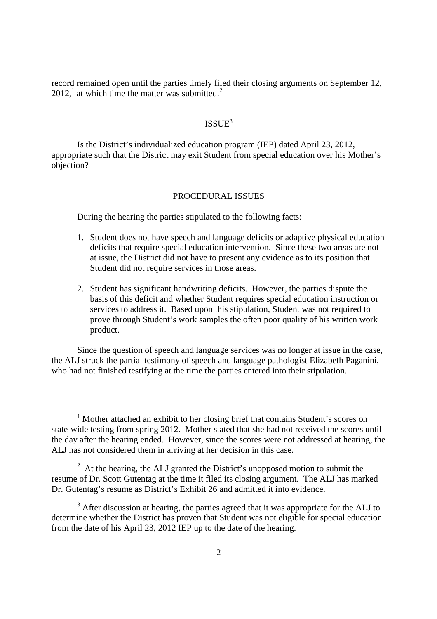record remained open until the parties timely filed their closing arguments on September 12,  $2012$ ,<sup>1</sup> at which time the matter was submitted.<sup>2</sup>

# ISSUE $3$

Is the District's individualized education program (IEP) dated April 23, 2012, appropriate such that the District may exit Student from special education over his Mother's objection?

## PROCEDURAL ISSUES

During the hearing the parties stipulated to the following facts:

- 1. Student does not have speech and language deficits or adaptive physical education deficits that require special education intervention. Since these two areas are not at issue, the District did not have to present any evidence as to its position that Student did not require services in those areas.
- 2. Student has significant handwriting deficits. However, the parties dispute the basis of this deficit and whether Student requires special education instruction or services to address it. Based upon this stipulation, Student was not required to prove through Student's work samples the often poor quality of his written work product.

Since the question of speech and language services was no longer at issue in the case, the ALJ struck the partial testimony of speech and language pathologist Elizabeth Paganini, who had not finished testifying at the time the parties entered into their stipulation.

<sup>&</sup>lt;sup>1</sup> Mother attached an exhibit to her closing brief that contains Student's scores on state-wide testing from spring 2012. Mother stated that she had not received the scores until the day after the hearing ended. However, since the scores were not addressed at hearing, the ALJ has not considered them in arriving at her decision in this case.

 $2<sup>2</sup>$  At the hearing, the ALJ granted the District's unopposed motion to submit the resume of Dr. Scott Gutentag at the time it filed its closing argument. The ALJ has marked Dr. Gutentag's resume as District's Exhibit 26 and admitted it into evidence.

 $3$  After discussion at hearing, the parties agreed that it was appropriate for the ALJ to determine whether the District has proven that Student was not eligible for special education from the date of his April 23, 2012 IEP up to the date of the hearing.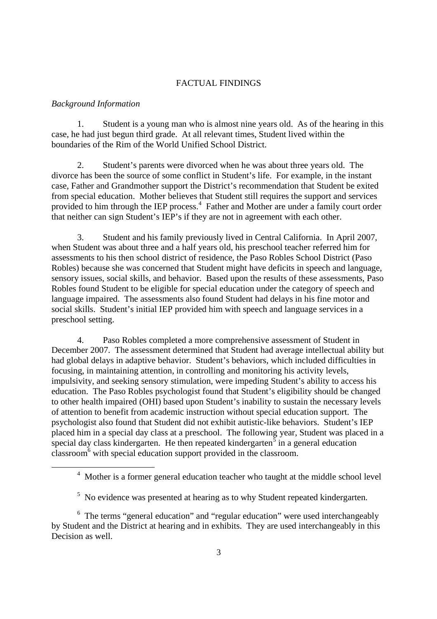## FACTUAL FINDINGS

## *Background Information*

1. Student is a young man who is almost nine years old. As of the hearing in this case, he had just begun third grade. At all relevant times, Student lived within the boundaries of the Rim of the World Unified School District.

2. Student's parents were divorced when he was about three years old. The divorce has been the source of some conflict in Student's life. For example, in the instant case, Father and Grandmother support the District's recommendation that Student be exited from special education. Mother believes that Student still requires the support and services provided to him through the IEP process.<sup>4</sup> Father and Mother are under a family court order that neither can sign Student's IEP's if they are not in agreement with each other.

3. Student and his family previously lived in Central California. In April 2007, when Student was about three and a half years old, his preschool teacher referred him for assessments to his then school district of residence, the Paso Robles School District (Paso Robles) because she was concerned that Student might have deficits in speech and language, sensory issues, social skills, and behavior. Based upon the results of these assessments, Paso Robles found Student to be eligible for special education under the category of speech and language impaired. The assessments also found Student had delays in his fine motor and social skills. Student's initial IEP provided him with speech and language services in a preschool setting.

4. Paso Robles completed a more comprehensive assessment of Student in December 2007. The assessment determined that Student had average intellectual ability but had global delays in adaptive behavior. Student's behaviors, which included difficulties in focusing, in maintaining attention, in controlling and monitoring his activity levels, impulsivity, and seeking sensory stimulation, were impeding Student's ability to access his education. The Paso Robles psychologist found that Student's eligibility should be changed to other health impaired (OHI) based upon Student's inability to sustain the necessary levels of attention to benefit from academic instruction without special education support. The psychologist also found that Student did not exhibit autistic-like behaviors. Student's IEP placed him in a special day class at a preschool. The following year, Student was placed in a special day class kindergarten. He then repeated kindergarten $\frac{3}{5}$  in a general education classroom<sup>6</sup> with special education support provided in the classroom.

<sup>&</sup>lt;sup>4</sup> Mother is a former general education teacher who taught at the middle school level

 $5$  No evidence was presented at hearing as to why Student repeated kindergarten.

<sup>6</sup> The terms "general education" and "regular education" were used interchangeably by Student and the District at hearing and in exhibits. They are used interchangeably in this Decision as well.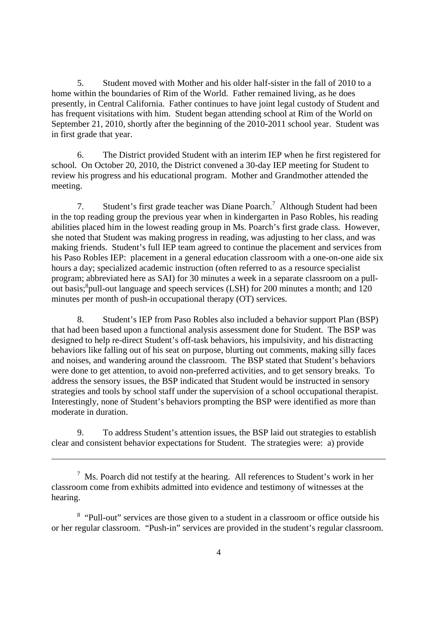5. Student moved with Mother and his older half-sister in the fall of 2010 to a home within the boundaries of Rim of the World. Father remained living, as he does presently, in Central California. Father continues to have joint legal custody of Student and has frequent visitations with him. Student began attending school at Rim of the World on September 21, 2010, shortly after the beginning of the 2010-2011 school year. Student was in first grade that year.

6. The District provided Student with an interim IEP when he first registered for school. On October 20, 2010, the District convened a 30-day IEP meeting for Student to review his progress and his educational program. Mother and Grandmother attended the meeting.

7. Student's first grade teacher was Diane Poarch.<sup>7</sup> Although Student had been in the top reading group the previous year when in kindergarten in Paso Robles, his reading abilities placed him in the lowest reading group in Ms. Poarch's first grade class. However, she noted that Student was making progress in reading, was adjusting to her class, and was making friends. Student's full IEP team agreed to continue the placement and services from his Paso Robles IEP: placement in a general education classroom with a one-on-one aide six hours a day; specialized academic instruction (often referred to as a resource specialist program; abbreviated here as SAI) for 30 minutes a week in a separate classroom on a pullout basis;<sup>8</sup> pull-out language and speech services (LSH) for 200 minutes a month; and 120 minutes per month of push-in occupational therapy (OT) services.

8. Student's IEP from Paso Robles also included a behavior support Plan (BSP) that had been based upon a functional analysis assessment done for Student. The BSP was designed to help re-direct Student's off-task behaviors, his impulsivity, and his distracting behaviors like falling out of his seat on purpose, blurting out comments, making silly faces and noises, and wandering around the classroom. The BSP stated that Student's behaviors were done to get attention, to avoid non-preferred activities, and to get sensory breaks. To address the sensory issues, the BSP indicated that Student would be instructed in sensory strategies and tools by school staff under the supervision of a school occupational therapist. Interestingly, none of Student's behaviors prompting the BSP were identified as more than moderate in duration.

9. To address Student's attention issues, the BSP laid out strategies to establish clear and consistent behavior expectations for Student. The strategies were: a) provide

 $<sup>7</sup>$  Ms. Poarch did not testify at the hearing. All references to Student's work in her</sup> classroom come from exhibits admitted into evidence and testimony of witnesses at the hearing.

<sup>&</sup>lt;sup>8</sup> "Pull-out" services are those given to a student in a classroom or office outside his or her regular classroom. "Push-in" services are provided in the student's regular classroom.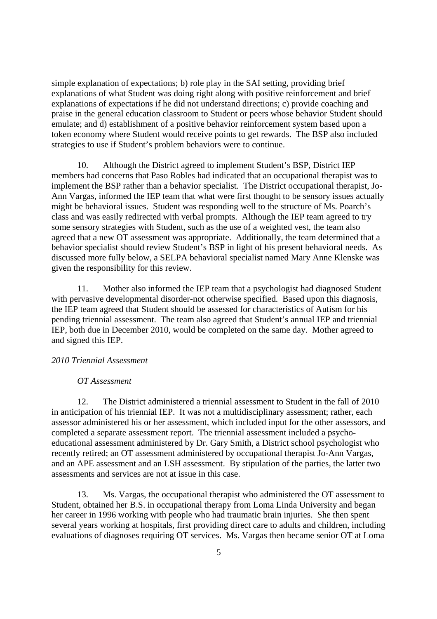simple explanation of expectations; b) role play in the SAI setting, providing brief explanations of what Student was doing right along with positive reinforcement and brief explanations of expectations if he did not understand directions; c) provide coaching and praise in the general education classroom to Student or peers whose behavior Student should emulate; and d) establishment of a positive behavior reinforcement system based upon a token economy where Student would receive points to get rewards. The BSP also included strategies to use if Student's problem behaviors were to continue.

10. Although the District agreed to implement Student's BSP, District IEP members had concerns that Paso Robles had indicated that an occupational therapist was to implement the BSP rather than a behavior specialist. The District occupational therapist, Jo-Ann Vargas, informed the IEP team that what were first thought to be sensory issues actually might be behavioral issues. Student was responding well to the structure of Ms. Poarch's class and was easily redirected with verbal prompts. Although the IEP team agreed to try some sensory strategies with Student, such as the use of a weighted vest, the team also agreed that a new OT assessment was appropriate. Additionally, the team determined that a behavior specialist should review Student's BSP in light of his present behavioral needs. As discussed more fully below, a SELPA behavioral specialist named Mary Anne Klenske was given the responsibility for this review.

11. Mother also informed the IEP team that a psychologist had diagnosed Student with pervasive developmental disorder-not otherwise specified. Based upon this diagnosis, the IEP team agreed that Student should be assessed for characteristics of Autism for his pending triennial assessment. The team also agreed that Student's annual IEP and triennial IEP, both due in December 2010, would be completed on the same day. Mother agreed to and signed this IEP.

## *2010 Triennial Assessment*

## *OT Assessment*

12. The District administered a triennial assessment to Student in the fall of 2010 in anticipation of his triennial IEP. It was not a multidisciplinary assessment; rather, each assessor administered his or her assessment, which included input for the other assessors, and completed a separate assessment report. The triennial assessment included a psychoeducational assessment administered by Dr. Gary Smith, a District school psychologist who recently retired; an OT assessment administered by occupational therapist Jo-Ann Vargas, and an APE assessment and an LSH assessment. By stipulation of the parties, the latter two assessments and services are not at issue in this case.

13. Ms. Vargas, the occupational therapist who administered the OT assessment to Student, obtained her B.S. in occupational therapy from Loma Linda University and began her career in 1996 working with people who had traumatic brain injuries. She then spent several years working at hospitals, first providing direct care to adults and children, including evaluations of diagnoses requiring OT services. Ms. Vargas then became senior OT at Loma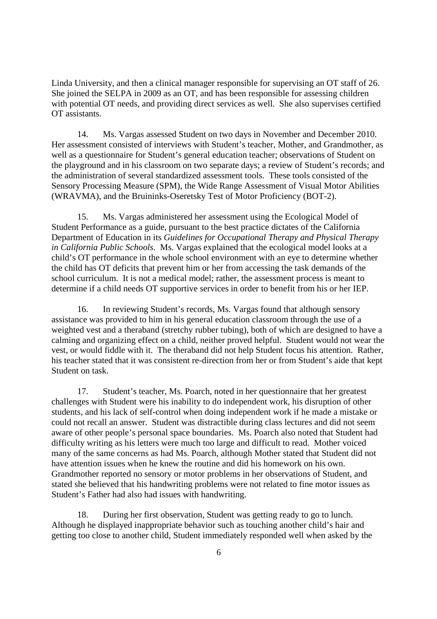Linda University, and then a clinical manager responsible for supervising an OT staff of 26. She joined the SELPA in 2009 as an OT, and has been responsible for assessing children with potential OT needs, and providing direct services as well. She also supervises certified OT assistants.

14. Ms. Vargas assessed Student on two days in November and December 2010. Her assessment consisted of interviews with Student's teacher, Mother, and Grandmother, as well as a questionnaire for Student's general education teacher; observations of Student on the playground and in his classroom on two separate days; a review of Student's records; and the administration of several standardized assessment tools. These tools consisted of the Sensory Processing Measure (SPM), the Wide Range Assessment of Visual Motor Abilities (WRAVMA), and the Bruininks-Oseretsky Test of Motor Proficiency (BOT-2).

15. Ms. Vargas administered her assessment using the Ecological Model of Student Performance as a guide, pursuant to the best practice dictates of the California Department of Education in its *Guidelines for Occupational Therapy and Physical Therapy in California Public Schools*. Ms. Vargas explained that the ecological model looks at a child's OT performance in the whole school environment with an eye to determine whether the child has OT deficits that prevent him or her from accessing the task demands of the school curriculum. It is not a medical model; rather, the assessment process is meant to determine if a child needs OT supportive services in order to benefit from his or her IEP.

16. In reviewing Student's records, Ms. Vargas found that although sensory assistance was provided to him in his general education classroom through the use of a weighted vest and a theraband (stretchy rubber tubing), both of which are designed to have a calming and organizing effect on a child, neither proved helpful. Student would not wear the vest, or would fiddle with it. The theraband did not help Student focus his attention. Rather, his teacher stated that it was consistent re-direction from her or from Student's aide that kept Student on task.

17. Student's teacher, Ms. Poarch, noted in her questionnaire that her greatest challenges with Student were his inability to do independent work, his disruption of other students, and his lack of self-control when doing independent work if he made a mistake or could not recall an answer. Student was distractible during class lectures and did not seem aware of other people's personal space boundaries. Ms. Poarch also noted that Student had difficulty writing as his letters were much too large and difficult to read. Mother voiced many of the same concerns as had Ms. Poarch, although Mother stated that Student did not have attention issues when he knew the routine and did his homework on his own. Grandmother reported no sensory or motor problems in her observations of Student, and stated she believed that his handwriting problems were not related to fine motor issues as Student's Father had also had issues with handwriting.

18. During her first observation, Student was getting ready to go to lunch. Although he displayed inappropriate behavior such as touching another child's hair and getting too close to another child, Student immediately responded well when asked by the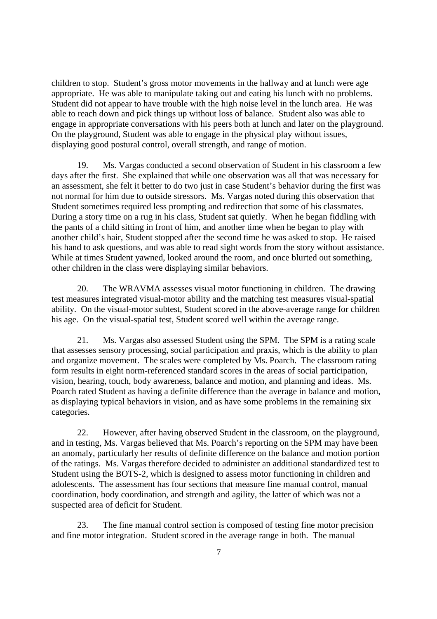children to stop. Student's gross motor movements in the hallway and at lunch were age appropriate. He was able to manipulate taking out and eating his lunch with no problems. Student did not appear to have trouble with the high noise level in the lunch area. He was able to reach down and pick things up without loss of balance. Student also was able to engage in appropriate conversations with his peers both at lunch and later on the playground. On the playground, Student was able to engage in the physical play without issues, displaying good postural control, overall strength, and range of motion.

19. Ms. Vargas conducted a second observation of Student in his classroom a few days after the first. She explained that while one observation was all that was necessary for an assessment, she felt it better to do two just in case Student's behavior during the first was not normal for him due to outside stressors. Ms. Vargas noted during this observation that Student sometimes required less prompting and redirection that some of his classmates. During a story time on a rug in his class, Student sat quietly. When he began fiddling with the pants of a child sitting in front of him, and another time when he began to play with another child's hair, Student stopped after the second time he was asked to stop. He raised his hand to ask questions, and was able to read sight words from the story without assistance. While at times Student yawned, looked around the room, and once blurted out something, other children in the class were displaying similar behaviors.

20. The WRAVMA assesses visual motor functioning in children. The drawing test measures integrated visual-motor ability and the matching test measures visual-spatial ability. On the visual-motor subtest, Student scored in the above-average range for children his age. On the visual-spatial test, Student scored well within the average range.

21. Ms. Vargas also assessed Student using the SPM. The SPM is a rating scale that assesses sensory processing, social participation and praxis, which is the ability to plan and organize movement. The scales were completed by Ms. Poarch. The classroom rating form results in eight norm-referenced standard scores in the areas of social participation, vision, hearing, touch, body awareness, balance and motion, and planning and ideas. Ms. Poarch rated Student as having a definite difference than the average in balance and motion, as displaying typical behaviors in vision, and as have some problems in the remaining six categories.

22. However, after having observed Student in the classroom, on the playground, and in testing, Ms. Vargas believed that Ms. Poarch's reporting on the SPM may have been an anomaly, particularly her results of definite difference on the balance and motion portion of the ratings. Ms. Vargas therefore decided to administer an additional standardized test to Student using the BOTS-2, which is designed to assess motor functioning in children and adolescents. The assessment has four sections that measure fine manual control, manual coordination, body coordination, and strength and agility, the latter of which was not a suspected area of deficit for Student.

23. The fine manual control section is composed of testing fine motor precision and fine motor integration. Student scored in the average range in both. The manual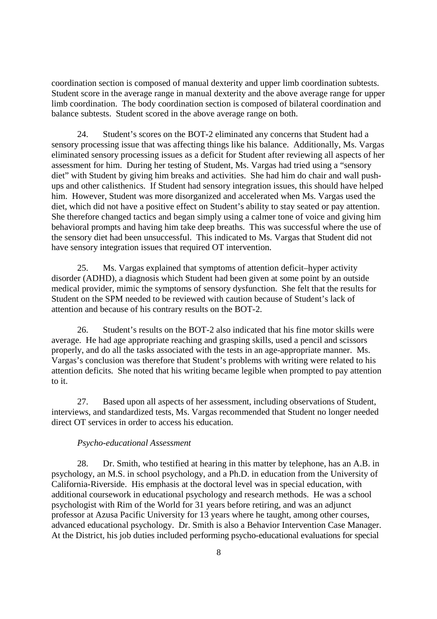coordination section is composed of manual dexterity and upper limb coordination subtests. Student score in the average range in manual dexterity and the above average range for upper limb coordination. The body coordination section is composed of bilateral coordination and balance subtests. Student scored in the above average range on both.

24. Student's scores on the BOT-2 eliminated any concerns that Student had a sensory processing issue that was affecting things like his balance. Additionally, Ms. Vargas eliminated sensory processing issues as a deficit for Student after reviewing all aspects of her assessment for him. During her testing of Student, Ms. Vargas had tried using a "sensory diet" with Student by giving him breaks and activities. She had him do chair and wall pushups and other calisthenics. If Student had sensory integration issues, this should have helped him. However, Student was more disorganized and accelerated when Ms. Vargas used the diet, which did not have a positive effect on Student's ability to stay seated or pay attention. She therefore changed tactics and began simply using a calmer tone of voice and giving him behavioral prompts and having him take deep breaths. This was successful where the use of the sensory diet had been unsuccessful. This indicated to Ms. Vargas that Student did not have sensory integration issues that required OT intervention.

25. Ms. Vargas explained that symptoms of attention deficit–hyper activity disorder (ADHD), a diagnosis which Student had been given at some point by an outside medical provider, mimic the symptoms of sensory dysfunction. She felt that the results for Student on the SPM needed to be reviewed with caution because of Student's lack of attention and because of his contrary results on the BOT-2.

26. Student's results on the BOT-2 also indicated that his fine motor skills were average. He had age appropriate reaching and grasping skills, used a pencil and scissors properly, and do all the tasks associated with the tests in an age-appropriate manner. Ms. Vargas's conclusion was therefore that Student's problems with writing were related to his attention deficits. She noted that his writing became legible when prompted to pay attention to it.

27. Based upon all aspects of her assessment, including observations of Student, interviews, and standardized tests, Ms. Vargas recommended that Student no longer needed direct OT services in order to access his education.

## *Psycho-educational Assessment*

28. Dr. Smith, who testified at hearing in this matter by telephone, has an A.B. in psychology, an M.S. in school psychology, and a Ph.D. in education from the University of California-Riverside. His emphasis at the doctoral level was in special education, with additional coursework in educational psychology and research methods. He was a school psychologist with Rim of the World for 31 years before retiring, and was an adjunct professor at Azusa Pacific University for 13 years where he taught, among other courses, advanced educational psychology. Dr. Smith is also a Behavior Intervention Case Manager. At the District, his job duties included performing psycho-educational evaluations for special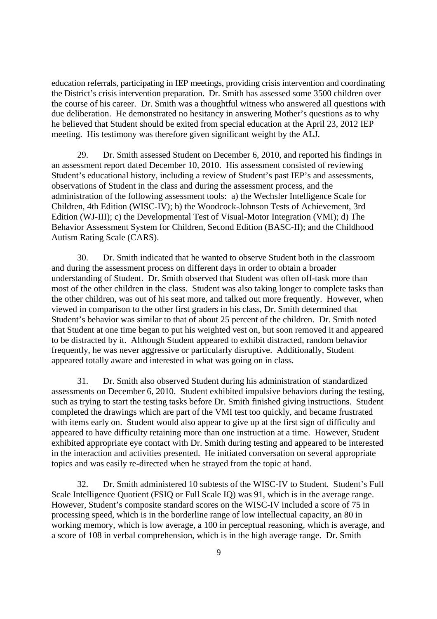education referrals, participating in IEP meetings, providing crisis intervention and coordinating the District's crisis intervention preparation. Dr. Smith has assessed some 3500 children over the course of his career. Dr. Smith was a thoughtful witness who answered all questions with due deliberation. He demonstrated no hesitancy in answering Mother's questions as to why he believed that Student should be exited from special education at the April 23, 2012 IEP meeting. His testimony was therefore given significant weight by the ALJ.

29. Dr. Smith assessed Student on December 6, 2010, and reported his findings in an assessment report dated December 10, 2010. His assessment consisted of reviewing Student's educational history, including a review of Student's past IEP's and assessments, observations of Student in the class and during the assessment process, and the administration of the following assessment tools: a) the Wechsler Intelligence Scale for Children, 4th Edition (WISC-IV); b) the Woodcock-Johnson Tests of Achievement, 3rd Edition (WJ-III); c) the Developmental Test of Visual-Motor Integration (VMI); d) The Behavior Assessment System for Children, Second Edition (BASC-II); and the Childhood Autism Rating Scale (CARS).

30. Dr. Smith indicated that he wanted to observe Student both in the classroom and during the assessment process on different days in order to obtain a broader understanding of Student. Dr. Smith observed that Student was often off-task more than most of the other children in the class. Student was also taking longer to complete tasks than the other children, was out of his seat more, and talked out more frequently. However, when viewed in comparison to the other first graders in his class, Dr. Smith determined that Student's behavior was similar to that of about 25 percent of the children. Dr. Smith noted that Student at one time began to put his weighted vest on, but soon removed it and appeared to be distracted by it. Although Student appeared to exhibit distracted, random behavior frequently, he was never aggressive or particularly disruptive. Additionally, Student appeared totally aware and interested in what was going on in class.

31. Dr. Smith also observed Student during his administration of standardized assessments on December 6, 2010. Student exhibited impulsive behaviors during the testing, such as trying to start the testing tasks before Dr. Smith finished giving instructions. Student completed the drawings which are part of the VMI test too quickly, and became frustrated with items early on. Student would also appear to give up at the first sign of difficulty and appeared to have difficulty retaining more than one instruction at a time. However, Student exhibited appropriate eye contact with Dr. Smith during testing and appeared to be interested in the interaction and activities presented. He initiated conversation on several appropriate topics and was easily re-directed when he strayed from the topic at hand.

32. Dr. Smith administered 10 subtests of the WISC-IV to Student. Student's Full Scale Intelligence Quotient (FSIQ or Full Scale IQ) was 91, which is in the average range. However, Student's composite standard scores on the WISC-IV included a score of 75 in processing speed, which is in the borderline range of low intellectual capacity, an 80 in working memory, which is low average, a 100 in perceptual reasoning, which is average, and a score of 108 in verbal comprehension, which is in the high average range. Dr. Smith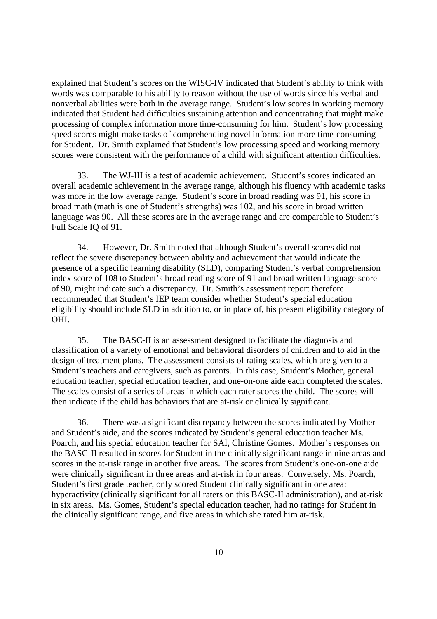explained that Student's scores on the WISC-IV indicated that Student's ability to think with words was comparable to his ability to reason without the use of words since his verbal and nonverbal abilities were both in the average range. Student's low scores in working memory indicated that Student had difficulties sustaining attention and concentrating that might make processing of complex information more time-consuming for him. Student's low processing speed scores might make tasks of comprehending novel information more time-consuming for Student. Dr. Smith explained that Student's low processing speed and working memory scores were consistent with the performance of a child with significant attention difficulties.

33. The WJ-III is a test of academic achievement. Student's scores indicated an overall academic achievement in the average range, although his fluency with academic tasks was more in the low average range. Student's score in broad reading was 91, his score in broad math (math is one of Student's strengths) was 102, and his score in broad written language was 90. All these scores are in the average range and are comparable to Student's Full Scale IQ of 91.

34. However, Dr. Smith noted that although Student's overall scores did not reflect the severe discrepancy between ability and achievement that would indicate the presence of a specific learning disability (SLD), comparing Student's verbal comprehension index score of 108 to Student's broad reading score of 91 and broad written language score of 90, might indicate such a discrepancy. Dr. Smith's assessment report therefore recommended that Student's IEP team consider whether Student's special education eligibility should include SLD in addition to, or in place of, his present eligibility category of OHI.

35. The BASC-II is an assessment designed to facilitate the diagnosis and classification of a variety of emotional and behavioral disorders of children and to aid in the design of treatment plans. The assessment consists of rating scales, which are given to a Student's teachers and caregivers, such as parents. In this case, Student's Mother, general education teacher, special education teacher, and one-on-one aide each completed the scales. The scales consist of a series of areas in which each rater scores the child. The scores will then indicate if the child has behaviors that are at-risk or clinically significant.

36. There was a significant discrepancy between the scores indicated by Mother and Student's aide, and the scores indicated by Student's general education teacher Ms. Poarch, and his special education teacher for SAI, Christine Gomes. Mother's responses on the BASC-II resulted in scores for Student in the clinically significant range in nine areas and scores in the at-risk range in another five areas. The scores from Student's one-on-one aide were clinically significant in three areas and at-risk in four areas. Conversely, Ms. Poarch, Student's first grade teacher, only scored Student clinically significant in one area: hyperactivity (clinically significant for all raters on this BASC-II administration), and at-risk in six areas. Ms. Gomes, Student's special education teacher, had no ratings for Student in the clinically significant range, and five areas in which she rated him at-risk.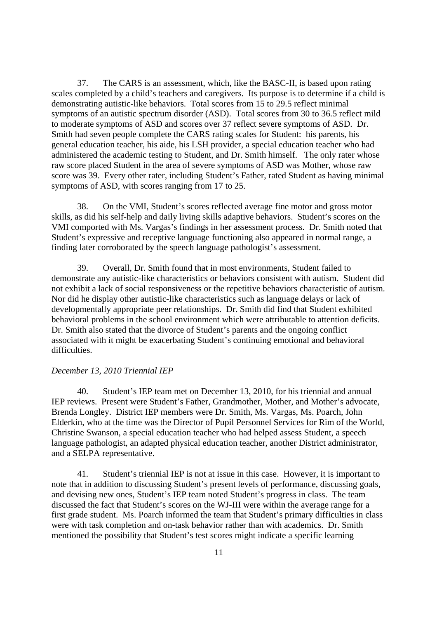37. The CARS is an assessment, which, like the BASC-II, is based upon rating scales completed by a child's teachers and caregivers. Its purpose is to determine if a child is demonstrating autistic-like behaviors. Total scores from 15 to 29.5 reflect minimal symptoms of an autistic spectrum disorder (ASD). Total scores from 30 to 36.5 reflect mild to moderate symptoms of ASD and scores over 37 reflect severe symptoms of ASD. Dr. Smith had seven people complete the CARS rating scales for Student: his parents, his general education teacher, his aide, his LSH provider, a special education teacher who had administered the academic testing to Student, and Dr. Smith himself. The only rater whose raw score placed Student in the area of severe symptoms of ASD was Mother, whose raw score was 39. Every other rater, including Student's Father, rated Student as having minimal symptoms of ASD, with scores ranging from 17 to 25.

38. On the VMI, Student's scores reflected average fine motor and gross motor skills, as did his self-help and daily living skills adaptive behaviors. Student's scores on the VMI comported with Ms. Vargas's findings in her assessment process. Dr. Smith noted that Student's expressive and receptive language functioning also appeared in normal range, a finding later corroborated by the speech language pathologist's assessment.

39. Overall, Dr. Smith found that in most environments, Student failed to demonstrate any autistic-like characteristics or behaviors consistent with autism. Student did not exhibit a lack of social responsiveness or the repetitive behaviors characteristic of autism. Nor did he display other autistic-like characteristics such as language delays or lack of developmentally appropriate peer relationships. Dr. Smith did find that Student exhibited behavioral problems in the school environment which were attributable to attention deficits. Dr. Smith also stated that the divorce of Student's parents and the ongoing conflict associated with it might be exacerbating Student's continuing emotional and behavioral difficulties.

## *December 13, 2010 Triennial IEP*

40. Student's IEP team met on December 13, 2010, for his triennial and annual IEP reviews. Present were Student's Father, Grandmother, Mother, and Mother's advocate, Brenda Longley. District IEP members were Dr. Smith, Ms. Vargas, Ms. Poarch, John Elderkin, who at the time was the Director of Pupil Personnel Services for Rim of the World, Christine Swanson, a special education teacher who had helped assess Student, a speech language pathologist, an adapted physical education teacher, another District administrator, and a SELPA representative.

41. Student's triennial IEP is not at issue in this case. However, it is important to note that in addition to discussing Student's present levels of performance, discussing goals, and devising new ones, Student's IEP team noted Student's progress in class. The team discussed the fact that Student's scores on the WJ-III were within the average range for a first grade student. Ms. Poarch informed the team that Student's primary difficulties in class were with task completion and on-task behavior rather than with academics. Dr. Smith mentioned the possibility that Student's test scores might indicate a specific learning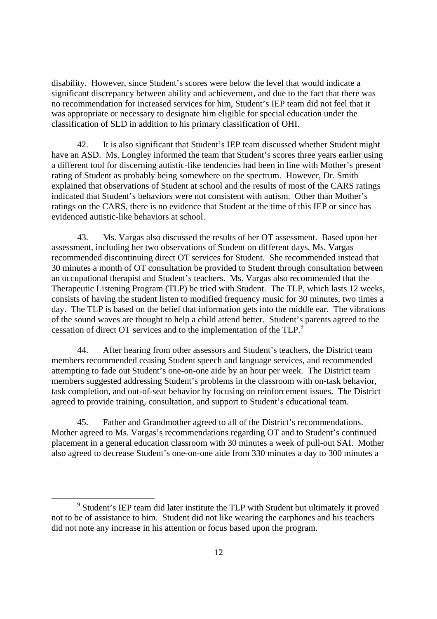disability. However, since Student's scores were below the level that would indicate a significant discrepancy between ability and achievement, and due to the fact that there was no recommendation for increased services for him, Student's IEP team did not feel that it was appropriate or necessary to designate him eligible for special education under the classification of SLD in addition to his primary classification of OHI.

42. It is also significant that Student's IEP team discussed whether Student might have an ASD. Ms. Longley informed the team that Student's scores three years earlier using a different tool for discerning autistic-like tendencies had been in line with Mother's present rating of Student as probably being somewhere on the spectrum. However, Dr. Smith explained that observations of Student at school and the results of most of the CARS ratings indicated that Student's behaviors were not consistent with autism. Other than Mother's ratings on the CARS, there is no evidence that Student at the time of this IEP or since has evidenced autistic-like behaviors at school.

43. Ms. Vargas also discussed the results of her OT assessment. Based upon her assessment, including her two observations of Student on different days, Ms. Vargas recommended discontinuing direct OT services for Student. She recommended instead that 30 minutes a month of OT consultation be provided to Student through consultation between an occupational therapist and Student's teachers. Ms. Vargas also recommended that the Therapeutic Listening Program (TLP) be tried with Student. The TLP, which lasts 12 weeks, consists of having the student listen to modified frequency music for 30 minutes, two times a day. The TLP is based on the belief that information gets into the middle ear. The vibrations of the sound waves are thought to help a child attend better. Student's parents agreed to the cessation of direct OT services and to the implementation of the TLP.<sup>9</sup>

44. After hearing from other assessors and Student's teachers, the District team members recommended ceasing Student speech and language services, and recommended attempting to fade out Student's one-on-one aide by an hour per week. The District team members suggested addressing Student's problems in the classroom with on-task behavior, task completion, and out-of-seat behavior by focusing on reinforcement issues. The District agreed to provide training, consultation, and support to Student's educational team.

45. Father and Grandmother agreed to all of the District's recommendations. Mother agreed to Ms. Vargas's recommendations regarding OT and to Student's continued placement in a general education classroom with 30 minutes a week of pull-out SAI. Mother also agreed to decrease Student's one-on-one aide from 330 minutes a day to 300 minutes a

<sup>&</sup>lt;sup>9</sup> Student's IEP team did later institute the TLP with Student but ultimately it proved not to be of assistance to him. Student did not like wearing the earphones and his teachers did not note any increase in his attention or focus based upon the program.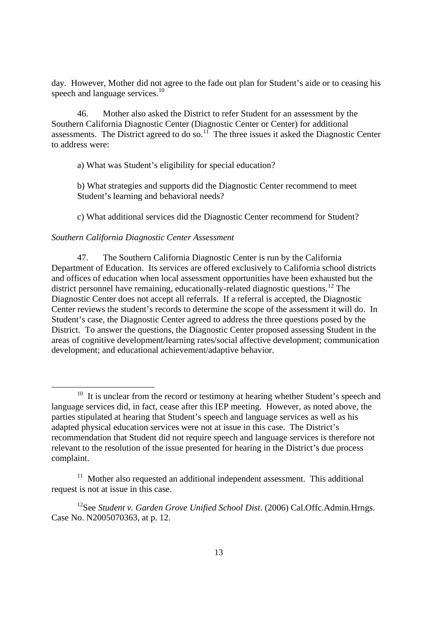day. However, Mother did not agree to the fade out plan for Student's aide or to ceasing his speech and language services.<sup>10</sup>

46. Mother also asked the District to refer Student for an assessment by the Southern California Diagnostic Center (Diagnostic Center or Center) for additional assessments. The District agreed to do so.<sup>11</sup> The three issues it asked the Diagnostic Center to address were:

a) What was Student's eligibility for special education?

b) What strategies and supports did the Diagnostic Center recommend to meet Student's learning and behavioral needs?

c) What additional services did the Diagnostic Center recommend for Student?

## *Southern California Diagnostic Center Assessment*

47. The Southern California Diagnostic Center is run by the California Department of Education. Its services are offered exclusively to California school districts and offices of education when local assessment opportunities have been exhausted but the district personnel have remaining, educationally-related diagnostic questions.<sup>12</sup> The Diagnostic Center does not accept all referrals. If a referral is accepted, the Diagnostic Center reviews the student's records to determine the scope of the assessment it will do. In Student's case, the Diagnostic Center agreed to address the three questions posed by the District. To answer the questions, the Diagnostic Center proposed assessing Student in the areas of cognitive development/learning rates/social affective development; communication development; and educational achievement/adaptive behavior.

<sup>&</sup>lt;sup>10</sup> It is unclear from the record or testimony at hearing whether Student's speech and language services did, in fact, cease after this IEP meeting. However, as noted above, the parties stipulated at hearing that Student's speech and language services as well as his adapted physical education services were not at issue in this case. The District's recommendation that Student did not require speech and language services is therefore not relevant to the resolution of the issue presented for hearing in the District's due process complaint.

 $11$  Mother also requested an additional independent assessment. This additional request is not at issue in this case.

<sup>&</sup>lt;sup>12</sup>See *Student v. Garden Grove Unified School Dist.* (2006) Cal.Offc.Admin.Hrngs. Case No. N2005070363, at p. 12.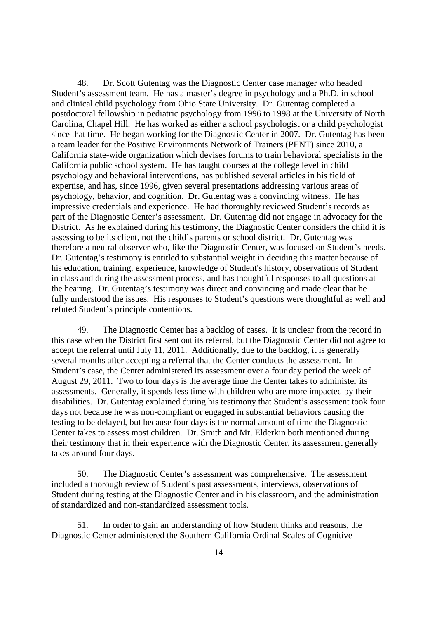48. Dr. Scott Gutentag was the Diagnostic Center case manager who headed Student's assessment team. He has a master's degree in psychology and a Ph.D. in school and clinical child psychology from Ohio State University. Dr. Gutentag completed a postdoctoral fellowship in pediatric psychology from 1996 to 1998 at the University of North Carolina, Chapel Hill. He has worked as either a school psychologist or a child psychologist since that time. He began working for the Diagnostic Center in 2007. Dr. Gutentag has been a team leader for the Positive Environments Network of Trainers (PENT) since 2010, a California state-wide organization which devises forums to train behavioral specialists in the California public school system. He has taught courses at the college level in child psychology and behavioral interventions, has published several articles in his field of expertise, and has, since 1996, given several presentations addressing various areas of psychology, behavior, and cognition. Dr. Gutentag was a convincing witness. He has impressive credentials and experience. He had thoroughly reviewed Student's records as part of the Diagnostic Center's assessment. Dr. Gutentag did not engage in advocacy for the District. As he explained during his testimony, the Diagnostic Center considers the child it is assessing to be its client, not the child's parents or school district. Dr. Gutentag was therefore a neutral observer who, like the Diagnostic Center, was focused on Student's needs. Dr. Gutentag's testimony is entitled to substantial weight in deciding this matter because of his education, training, experience, knowledge of Student's history, observations of Student in class and during the assessment process, and has thoughtful responses to all questions at the hearing. Dr. Gutentag's testimony was direct and convincing and made clear that he fully understood the issues. His responses to Student's questions were thoughtful as well and refuted Student's principle contentions.

49. The Diagnostic Center has a backlog of cases. It is unclear from the record in this case when the District first sent out its referral, but the Diagnostic Center did not agree to accept the referral until July 11, 2011. Additionally, due to the backlog, it is generally several months after accepting a referral that the Center conducts the assessment. In Student's case, the Center administered its assessment over a four day period the week of August 29, 2011. Two to four days is the average time the Center takes to administer its assessments. Generally, it spends less time with children who are more impacted by their disabilities. Dr. Gutentag explained during his testimony that Student's assessment took four days not because he was non-compliant or engaged in substantial behaviors causing the testing to be delayed, but because four days is the normal amount of time the Diagnostic Center takes to assess most children. Dr. Smith and Mr. Elderkin both mentioned during their testimony that in their experience with the Diagnostic Center, its assessment generally takes around four days.

50. The Diagnostic Center's assessment was comprehensive. The assessment included a thorough review of Student's past assessments, interviews, observations of Student during testing at the Diagnostic Center and in his classroom, and the administration of standardized and non-standardized assessment tools.

51. In order to gain an understanding of how Student thinks and reasons, the Diagnostic Center administered the Southern California Ordinal Scales of Cognitive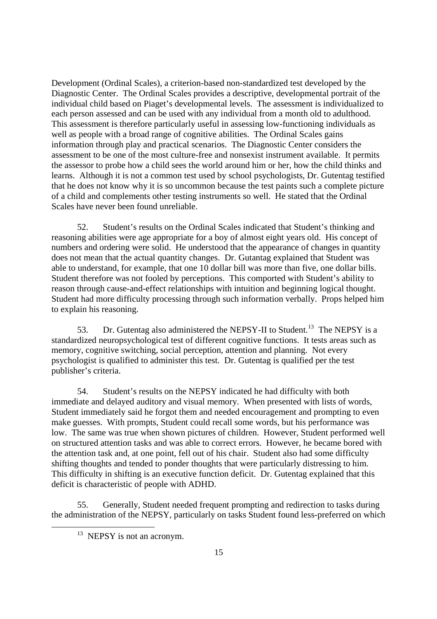Development (Ordinal Scales), a criterion-based non-standardized test developed by the Diagnostic Center. The Ordinal Scales provides a descriptive, developmental portrait of the individual child based on Piaget's developmental levels. The assessment is individualized to each person assessed and can be used with any individual from a month old to adulthood. This assessment is therefore particularly useful in assessing low-functioning individuals as well as people with a broad range of cognitive abilities. The Ordinal Scales gains information through play and practical scenarios. The Diagnostic Center considers the assessment to be one of the most culture-free and nonsexist instrument available. It permits the assessor to probe how a child sees the world around him or her, how the child thinks and learns. Although it is not a common test used by school psychologists, Dr. Gutentag testified that he does not know why it is so uncommon because the test paints such a complete picture of a child and complements other testing instruments so well. He stated that the Ordinal Scales have never been found unreliable.

52. Student's results on the Ordinal Scales indicated that Student's thinking and reasoning abilities were age appropriate for a boy of almost eight years old. His concept of numbers and ordering were solid. He understood that the appearance of changes in quantity does not mean that the actual quantity changes. Dr. Gutantag explained that Student was able to understand, for example, that one 10 dollar bill was more than five, one dollar bills. Student therefore was not fooled by perceptions. This comported with Student's ability to reason through cause-and-effect relationships with intuition and beginning logical thought. Student had more difficulty processing through such information verbally. Props helped him to explain his reasoning.

53. Dr. Gutentag also administered the NEPSY-II to Student.<sup>13</sup> The NEPSY is a standardized neuropsychological test of different cognitive functions. It tests areas such as memory, cognitive switching, social perception, attention and planning. Not every psychologist is qualified to administer this test. Dr. Gutentag is qualified per the test publisher's criteria.

54. Student's results on the NEPSY indicated he had difficulty with both immediate and delayed auditory and visual memory. When presented with lists of words, Student immediately said he forgot them and needed encouragement and prompting to even make guesses. With prompts, Student could recall some words, but his performance was low. The same was true when shown pictures of children. However, Student performed well on structured attention tasks and was able to correct errors. However, he became bored with the attention task and, at one point, fell out of his chair. Student also had some difficulty shifting thoughts and tended to ponder thoughts that were particularly distressing to him. This difficulty in shifting is an executive function deficit. Dr. Gutentag explained that this deficit is characteristic of people with ADHD.

55. Generally, Student needed frequent prompting and redirection to tasks during the administration of the NEPSY, particularly on tasks Student found less-preferred on which

 $13$  NEPSY is not an acronym.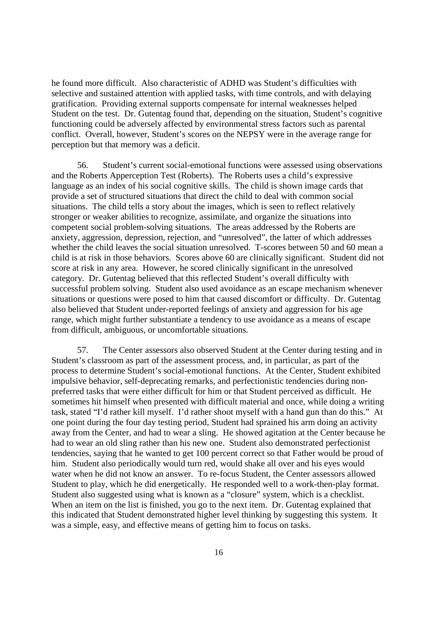he found more difficult. Also characteristic of ADHD was Student's difficulties with selective and sustained attention with applied tasks, with time controls, and with delaying gratification. Providing external supports compensate for internal weaknesses helped Student on the test. Dr. Gutentag found that, depending on the situation, Student's cognitive functioning could be adversely affected by environmental stress factors such as parental conflict. Overall, however, Student's scores on the NEPSY were in the average range for perception but that memory was a deficit.

56. Student's current social-emotional functions were assessed using observations and the Roberts Apperception Test (Roberts). The Roberts uses a child's expressive language as an index of his social cognitive skills. The child is shown image cards that provide a set of structured situations that direct the child to deal with common social situations. The child tells a story about the images, which is seen to reflect relatively stronger or weaker abilities to recognize, assimilate, and organize the situations into competent social problem-solving situations. The areas addressed by the Roberts are anxiety, aggression, depression, rejection, and "unresolved", the latter of which addresses whether the child leaves the social situation unresolved. T-scores between 50 and 60 mean a child is at risk in those behaviors. Scores above 60 are clinically significant. Student did not score at risk in any area. However, he scored clinically significant in the unresolved category. Dr. Gutentag believed that this reflected Student's overall difficulty with successful problem solving. Student also used avoidance as an escape mechanism whenever situations or questions were posed to him that caused discomfort or difficulty. Dr. Gutentag also believed that Student under-reported feelings of anxiety and aggression for his age range, which might further substantiate a tendency to use avoidance as a means of escape from difficult, ambiguous, or uncomfortable situations.

57. The Center assessors also observed Student at the Center during testing and in Student's classroom as part of the assessment process, and, in particular, as part of the process to determine Student's social-emotional functions. At the Center, Student exhibited impulsive behavior, self-deprecating remarks, and perfectionistic tendencies during nonpreferred tasks that were either difficult for him or that Student perceived as difficult. He sometimes hit himself when presented with difficult material and once, while doing a writing task, stated "I'd rather kill myself. I'd rather shoot myself with a hand gun than do this." At one point during the four day testing period, Student had sprained his arm doing an activity away from the Center, and had to wear a sling. He showed agitation at the Center because he had to wear an old sling rather than his new one. Student also demonstrated perfectionist tendencies, saying that he wanted to get 100 percent correct so that Father would be proud of him. Student also periodically would turn red, would shake all over and his eyes would water when he did not know an answer. To re-focus Student, the Center assessors allowed Student to play, which he did energetically. He responded well to a work-then-play format. Student also suggested using what is known as a "closure" system, which is a checklist. When an item on the list is finished, you go to the next item. Dr. Gutentag explained that this indicated that Student demonstrated higher level thinking by suggesting this system. It was a simple, easy, and effective means of getting him to focus on tasks.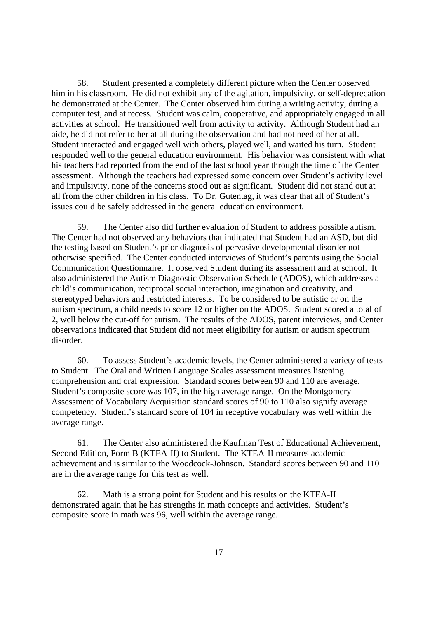58. Student presented a completely different picture when the Center observed him in his classroom. He did not exhibit any of the agitation, impulsivity, or self-deprecation he demonstrated at the Center. The Center observed him during a writing activity, during a computer test, and at recess. Student was calm, cooperative, and appropriately engaged in all activities at school. He transitioned well from activity to activity. Although Student had an aide, he did not refer to her at all during the observation and had not need of her at all. Student interacted and engaged well with others, played well, and waited his turn. Student responded well to the general education environment. His behavior was consistent with what his teachers had reported from the end of the last school year through the time of the Center assessment. Although the teachers had expressed some concern over Student's activity level and impulsivity, none of the concerns stood out as significant. Student did not stand out at all from the other children in his class. To Dr. Gutentag, it was clear that all of Student's issues could be safely addressed in the general education environment.

59. The Center also did further evaluation of Student to address possible autism. The Center had not observed any behaviors that indicated that Student had an ASD, but did the testing based on Student's prior diagnosis of pervasive developmental disorder not otherwise specified. The Center conducted interviews of Student's parents using the Social Communication Questionnaire. It observed Student during its assessment and at school. It also administered the Autism Diagnostic Observation Schedule (ADOS), which addresses a child's communication, reciprocal social interaction, imagination and creativity, and stereotyped behaviors and restricted interests. To be considered to be autistic or on the autism spectrum, a child needs to score 12 or higher on the ADOS. Student scored a total of 2, well below the cut-off for autism. The results of the ADOS, parent interviews, and Center observations indicated that Student did not meet eligibility for autism or autism spectrum disorder.

60. To assess Student's academic levels, the Center administered a variety of tests to Student. The Oral and Written Language Scales assessment measures listening comprehension and oral expression. Standard scores between 90 and 110 are average. Student's composite score was 107, in the high average range. On the Montgomery Assessment of Vocabulary Acquisition standard scores of 90 to 110 also signify average competency. Student's standard score of 104 in receptive vocabulary was well within the average range.

61. The Center also administered the Kaufman Test of Educational Achievement, Second Edition, Form B (KTEA-II) to Student. The KTEA-II measures academic achievement and is similar to the Woodcock-Johnson. Standard scores between 90 and 110 are in the average range for this test as well.

62. Math is a strong point for Student and his results on the KTEA-II demonstrated again that he has strengths in math concepts and activities. Student's composite score in math was 96, well within the average range.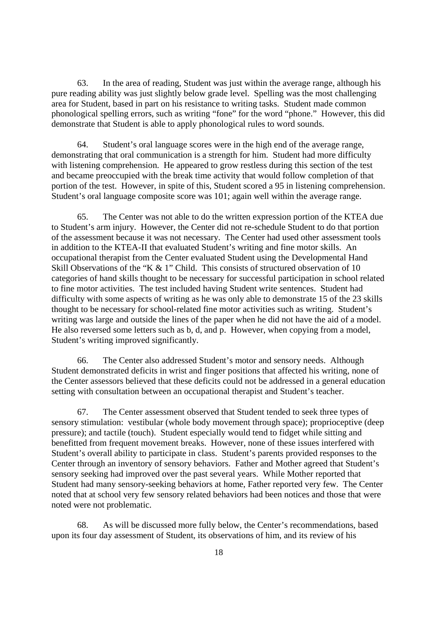63. In the area of reading, Student was just within the average range, although his pure reading ability was just slightly below grade level. Spelling was the most challenging area for Student, based in part on his resistance to writing tasks. Student made common phonological spelling errors, such as writing "fone" for the word "phone." However, this did demonstrate that Student is able to apply phonological rules to word sounds.

64. Student's oral language scores were in the high end of the average range, demonstrating that oral communication is a strength for him. Student had more difficulty with listening comprehension. He appeared to grow restless during this section of the test and became preoccupied with the break time activity that would follow completion of that portion of the test. However, in spite of this, Student scored a 95 in listening comprehension. Student's oral language composite score was 101; again well within the average range.

65. The Center was not able to do the written expression portion of the KTEA due to Student's arm injury. However, the Center did not re-schedule Student to do that portion of the assessment because it was not necessary. The Center had used other assessment tools in addition to the KTEA-II that evaluated Student's writing and fine motor skills. An occupational therapist from the Center evaluated Student using the Developmental Hand Skill Observations of the "K & 1" Child. This consists of structured observation of 10 categories of hand skills thought to be necessary for successful participation in school related to fine motor activities. The test included having Student write sentences. Student had difficulty with some aspects of writing as he was only able to demonstrate 15 of the 23 skills thought to be necessary for school-related fine motor activities such as writing. Student's writing was large and outside the lines of the paper when he did not have the aid of a model. He also reversed some letters such as b, d, and p. However, when copying from a model, Student's writing improved significantly.

66. The Center also addressed Student's motor and sensory needs. Although Student demonstrated deficits in wrist and finger positions that affected his writing, none of the Center assessors believed that these deficits could not be addressed in a general education setting with consultation between an occupational therapist and Student's teacher.

67. The Center assessment observed that Student tended to seek three types of sensory stimulation: vestibular (whole body movement through space); proprioceptive (deep pressure); and tactile (touch). Student especially would tend to fidget while sitting and benefitted from frequent movement breaks. However, none of these issues interfered with Student's overall ability to participate in class. Student's parents provided responses to the Center through an inventory of sensory behaviors. Father and Mother agreed that Student's sensory seeking had improved over the past several years. While Mother reported that Student had many sensory-seeking behaviors at home, Father reported very few. The Center noted that at school very few sensory related behaviors had been notices and those that were noted were not problematic.

68. As will be discussed more fully below, the Center's recommendations, based upon its four day assessment of Student, its observations of him, and its review of his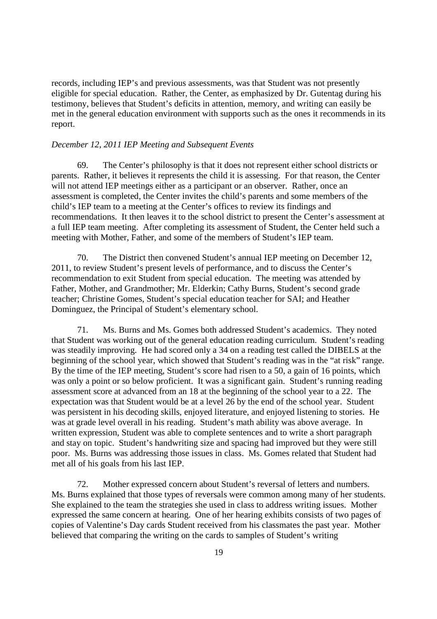records, including IEP's and previous assessments, was that Student was not presently eligible for special education. Rather, the Center, as emphasized by Dr. Gutentag during his testimony, believes that Student's deficits in attention, memory, and writing can easily be met in the general education environment with supports such as the ones it recommends in its report.

## *December 12, 2011 IEP Meeting and Subsequent Events*

69. The Center's philosophy is that it does not represent either school districts or parents. Rather, it believes it represents the child it is assessing. For that reason, the Center will not attend IEP meetings either as a participant or an observer. Rather, once an assessment is completed, the Center invites the child's parents and some members of the child's IEP team to a meeting at the Center's offices to review its findings and recommendations. It then leaves it to the school district to present the Center's assessment at a full IEP team meeting. After completing its assessment of Student, the Center held such a meeting with Mother, Father, and some of the members of Student's IEP team.

70. The District then convened Student's annual IEP meeting on December 12, 2011, to review Student's present levels of performance, and to discuss the Center's recommendation to exit Student from special education. The meeting was attended by Father, Mother, and Grandmother; Mr. Elderkin; Cathy Burns, Student's second grade teacher; Christine Gomes, Student's special education teacher for SAI; and Heather Dominguez, the Principal of Student's elementary school.

71. Ms. Burns and Ms. Gomes both addressed Student's academics. They noted that Student was working out of the general education reading curriculum. Student's reading was steadily improving. He had scored only a 34 on a reading test called the DIBELS at the beginning of the school year, which showed that Student's reading was in the "at risk" range. By the time of the IEP meeting, Student's score had risen to a 50, a gain of 16 points, which was only a point or so below proficient. It was a significant gain. Student's running reading assessment score at advanced from an 18 at the beginning of the school year to a 22. The expectation was that Student would be at a level 26 by the end of the school year. Student was persistent in his decoding skills, enjoyed literature, and enjoyed listening to stories. He was at grade level overall in his reading. Student's math ability was above average. In written expression, Student was able to complete sentences and to write a short paragraph and stay on topic. Student's handwriting size and spacing had improved but they were still poor. Ms. Burns was addressing those issues in class. Ms. Gomes related that Student had met all of his goals from his last IEP.

72. Mother expressed concern about Student's reversal of letters and numbers. Ms. Burns explained that those types of reversals were common among many of her students. She explained to the team the strategies she used in class to address writing issues. Mother expressed the same concern at hearing. One of her hearing exhibits consists of two pages of copies of Valentine's Day cards Student received from his classmates the past year. Mother believed that comparing the writing on the cards to samples of Student's writing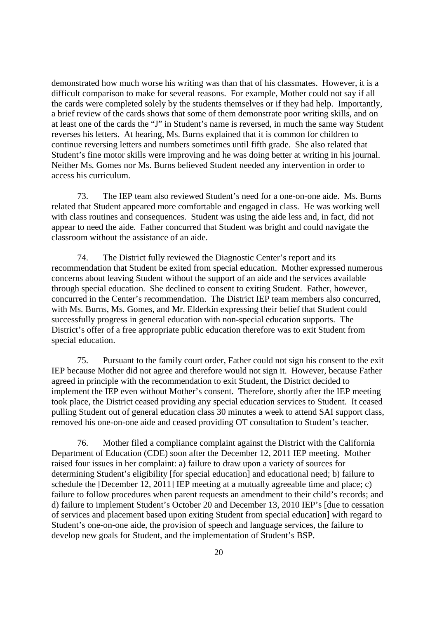demonstrated how much worse his writing was than that of his classmates. However, it is a difficult comparison to make for several reasons. For example, Mother could not say if all the cards were completed solely by the students themselves or if they had help. Importantly, a brief review of the cards shows that some of them demonstrate poor writing skills, and on at least one of the cards the "J" in Student's name is reversed, in much the same way Student reverses his letters. At hearing, Ms. Burns explained that it is common for children to continue reversing letters and numbers sometimes until fifth grade. She also related that Student's fine motor skills were improving and he was doing better at writing in his journal. Neither Ms. Gomes nor Ms. Burns believed Student needed any intervention in order to access his curriculum.

73. The IEP team also reviewed Student's need for a one-on-one aide. Ms. Burns related that Student appeared more comfortable and engaged in class. He was working well with class routines and consequences. Student was using the aide less and, in fact, did not appear to need the aide. Father concurred that Student was bright and could navigate the classroom without the assistance of an aide.

74. The District fully reviewed the Diagnostic Center's report and its recommendation that Student be exited from special education. Mother expressed numerous concerns about leaving Student without the support of an aide and the services available through special education. She declined to consent to exiting Student. Father, however, concurred in the Center's recommendation. The District IEP team members also concurred, with Ms. Burns, Ms. Gomes, and Mr. Elderkin expressing their belief that Student could successfully progress in general education with non-special education supports. The District's offer of a free appropriate public education therefore was to exit Student from special education.

75. Pursuant to the family court order, Father could not sign his consent to the exit IEP because Mother did not agree and therefore would not sign it. However, because Father agreed in principle with the recommendation to exit Student, the District decided to implement the IEP even without Mother's consent. Therefore, shortly after the IEP meeting took place, the District ceased providing any special education services to Student. It ceased pulling Student out of general education class 30 minutes a week to attend SAI support class, removed his one-on-one aide and ceased providing OT consultation to Student's teacher.

76. Mother filed a compliance complaint against the District with the California Department of Education (CDE) soon after the December 12, 2011 IEP meeting. Mother raised four issues in her complaint: a) failure to draw upon a variety of sources for determining Student's eligibility [for special education] and educational need; b) failure to schedule the [December 12, 2011] IEP meeting at a mutually agreeable time and place; c) failure to follow procedures when parent requests an amendment to their child's records; and d) failure to implement Student's October 20 and December 13, 2010 IEP's [due to cessation of services and placement based upon exiting Student from special education] with regard to Student's one-on-one aide, the provision of speech and language services, the failure to develop new goals for Student, and the implementation of Student's BSP.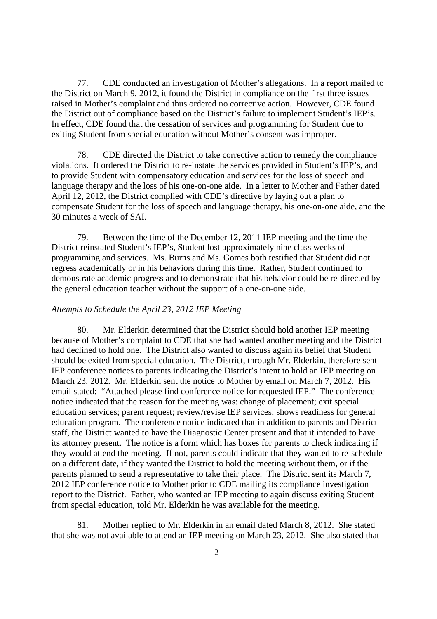77. CDE conducted an investigation of Mother's allegations. In a report mailed to the District on March 9, 2012, it found the District in compliance on the first three issues raised in Mother's complaint and thus ordered no corrective action. However, CDE found the District out of compliance based on the District's failure to implement Student's IEP's. In effect, CDE found that the cessation of services and programming for Student due to exiting Student from special education without Mother's consent was improper.

78. CDE directed the District to take corrective action to remedy the compliance violations. It ordered the District to re-instate the services provided in Student's IEP's, and to provide Student with compensatory education and services for the loss of speech and language therapy and the loss of his one-on-one aide. In a letter to Mother and Father dated April 12, 2012, the District complied with CDE's directive by laying out a plan to compensate Student for the loss of speech and language therapy, his one-on-one aide, and the 30 minutes a week of SAI.

79. Between the time of the December 12, 2011 IEP meeting and the time the District reinstated Student's IEP's, Student lost approximately nine class weeks of programming and services. Ms. Burns and Ms. Gomes both testified that Student did not regress academically or in his behaviors during this time. Rather, Student continued to demonstrate academic progress and to demonstrate that his behavior could be re-directed by the general education teacher without the support of a one-on-one aide.

### *Attempts to Schedule the April 23, 2012 IEP Meeting*

80. Mr. Elderkin determined that the District should hold another IEP meeting because of Mother's complaint to CDE that she had wanted another meeting and the District had declined to hold one. The District also wanted to discuss again its belief that Student should be exited from special education. The District, through Mr. Elderkin, therefore sent IEP conference notices to parents indicating the District's intent to hold an IEP meeting on March 23, 2012. Mr. Elderkin sent the notice to Mother by email on March 7, 2012. His email stated: "Attached please find conference notice for requested IEP." The conference notice indicated that the reason for the meeting was: change of placement; exit special education services; parent request; review/revise IEP services; shows readiness for general education program. The conference notice indicated that in addition to parents and District staff, the District wanted to have the Diagnostic Center present and that it intended to have its attorney present. The notice is a form which has boxes for parents to check indicating if they would attend the meeting. If not, parents could indicate that they wanted to re-schedule on a different date, if they wanted the District to hold the meeting without them, or if the parents planned to send a representative to take their place. The District sent its March 7, 2012 IEP conference notice to Mother prior to CDE mailing its compliance investigation report to the District. Father, who wanted an IEP meeting to again discuss exiting Student from special education, told Mr. Elderkin he was available for the meeting.

81. Mother replied to Mr. Elderkin in an email dated March 8, 2012. She stated that she was not available to attend an IEP meeting on March 23, 2012. She also stated that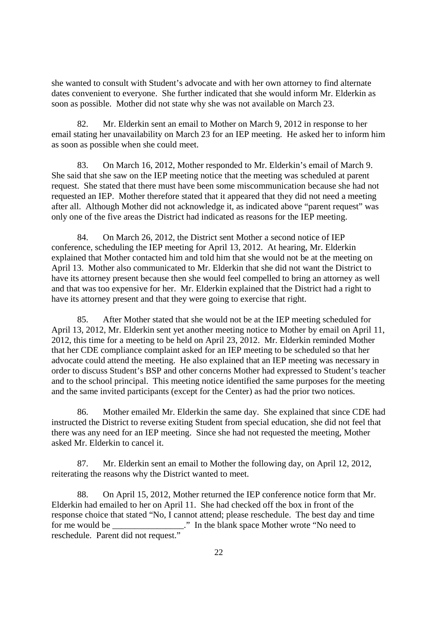she wanted to consult with Student's advocate and with her own attorney to find alternate dates convenient to everyone. She further indicated that she would inform Mr. Elderkin as soon as possible. Mother did not state why she was not available on March 23.

82. Mr. Elderkin sent an email to Mother on March 9, 2012 in response to her email stating her unavailability on March 23 for an IEP meeting. He asked her to inform him as soon as possible when she could meet.

83. On March 16, 2012, Mother responded to Mr. Elderkin's email of March 9. She said that she saw on the IEP meeting notice that the meeting was scheduled at parent request. She stated that there must have been some miscommunication because she had not requested an IEP. Mother therefore stated that it appeared that they did not need a meeting after all. Although Mother did not acknowledge it, as indicated above "parent request" was only one of the five areas the District had indicated as reasons for the IEP meeting.

84. On March 26, 2012, the District sent Mother a second notice of IEP conference, scheduling the IEP meeting for April 13, 2012. At hearing, Mr. Elderkin explained that Mother contacted him and told him that she would not be at the meeting on April 13. Mother also communicated to Mr. Elderkin that she did not want the District to have its attorney present because then she would feel compelled to bring an attorney as well and that was too expensive for her. Mr. Elderkin explained that the District had a right to have its attorney present and that they were going to exercise that right.

85. After Mother stated that she would not be at the IEP meeting scheduled for April 13, 2012, Mr. Elderkin sent yet another meeting notice to Mother by email on April 11, 2012, this time for a meeting to be held on April 23, 2012. Mr. Elderkin reminded Mother that her CDE compliance complaint asked for an IEP meeting to be scheduled so that her advocate could attend the meeting. He also explained that an IEP meeting was necessary in order to discuss Student's BSP and other concerns Mother had expressed to Student's teacher and to the school principal. This meeting notice identified the same purposes for the meeting and the same invited participants (except for the Center) as had the prior two notices.

86. Mother emailed Mr. Elderkin the same day. She explained that since CDE had instructed the District to reverse exiting Student from special education, she did not feel that there was any need for an IEP meeting. Since she had not requested the meeting, Mother asked Mr. Elderkin to cancel it.

87. Mr. Elderkin sent an email to Mother the following day, on April 12, 2012, reiterating the reasons why the District wanted to meet.

88. On April 15, 2012, Mother returned the IEP conference notice form that Mr. Elderkin had emailed to her on April 11. She had checked off the box in front of the response choice that stated "No, I cannot attend; please reschedule. The best day and time for me would be \_\_\_\_\_\_\_\_\_\_\_\_\_\_\_." In the blank space Mother wrote "No need to reschedule. Parent did not request."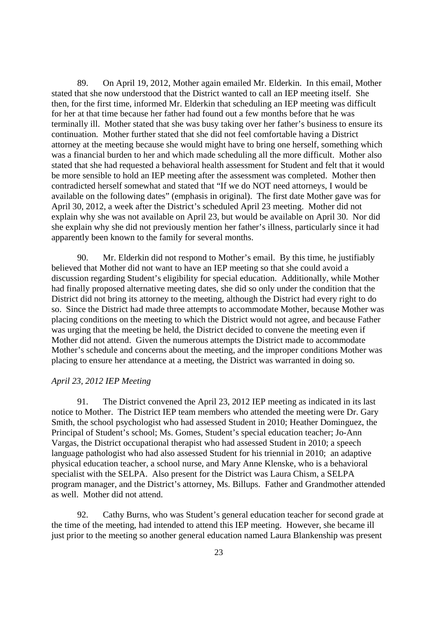89. On April 19, 2012, Mother again emailed Mr. Elderkin. In this email, Mother stated that she now understood that the District wanted to call an IEP meeting itself. She then, for the first time, informed Mr. Elderkin that scheduling an IEP meeting was difficult for her at that time because her father had found out a few months before that he was terminally ill. Mother stated that she was busy taking over her father's business to ensure its continuation. Mother further stated that she did not feel comfortable having a District attorney at the meeting because she would might have to bring one herself, something which was a financial burden to her and which made scheduling all the more difficult. Mother also stated that she had requested a behavioral health assessment for Student and felt that it would be more sensible to hold an IEP meeting after the assessment was completed. Mother then contradicted herself somewhat and stated that "If we do NOT need attorneys, I would be available on the following dates" (emphasis in original). The first date Mother gave was for April 30, 2012, a week after the District's scheduled April 23 meeting. Mother did not explain why she was not available on April 23, but would be available on April 30. Nor did she explain why she did not previously mention her father's illness, particularly since it had apparently been known to the family for several months.

90. Mr. Elderkin did not respond to Mother's email. By this time, he justifiably believed that Mother did not want to have an IEP meeting so that she could avoid a discussion regarding Student's eligibility for special education. Additionally, while Mother had finally proposed alternative meeting dates, she did so only under the condition that the District did not bring its attorney to the meeting, although the District had every right to do so. Since the District had made three attempts to accommodate Mother, because Mother was placing conditions on the meeting to which the District would not agree, and because Father was urging that the meeting be held, the District decided to convene the meeting even if Mother did not attend. Given the numerous attempts the District made to accommodate Mother's schedule and concerns about the meeting, and the improper conditions Mother was placing to ensure her attendance at a meeting, the District was warranted in doing so.

## *April 23, 2012 IEP Meeting*

91. The District convened the April 23, 2012 IEP meeting as indicated in its last notice to Mother. The District IEP team members who attended the meeting were Dr. Gary Smith, the school psychologist who had assessed Student in 2010; Heather Dominguez, the Principal of Student's school; Ms. Gomes, Student's special education teacher; Jo-Ann Vargas, the District occupational therapist who had assessed Student in 2010; a speech language pathologist who had also assessed Student for his triennial in 2010; an adaptive physical education teacher, a school nurse, and Mary Anne Klenske, who is a behavioral specialist with the SELPA. Also present for the District was Laura Chism, a SELPA program manager, and the District's attorney, Ms. Billups. Father and Grandmother attended as well. Mother did not attend.

92. Cathy Burns, who was Student's general education teacher for second grade at the time of the meeting, had intended to attend this IEP meeting. However, she became ill just prior to the meeting so another general education named Laura Blankenship was present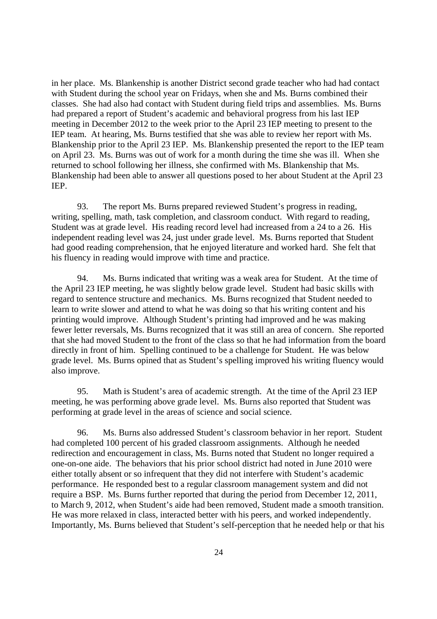in her place. Ms. Blankenship is another District second grade teacher who had had contact with Student during the school year on Fridays, when she and Ms. Burns combined their classes. She had also had contact with Student during field trips and assemblies. Ms. Burns had prepared a report of Student's academic and behavioral progress from his last IEP meeting in December 2012 to the week prior to the April 23 IEP meeting to present to the IEP team. At hearing, Ms. Burns testified that she was able to review her report with Ms. Blankenship prior to the April 23 IEP. Ms. Blankenship presented the report to the IEP team on April 23. Ms. Burns was out of work for a month during the time she was ill. When she returned to school following her illness, she confirmed with Ms. Blankenship that Ms. Blankenship had been able to answer all questions posed to her about Student at the April 23 IEP.

93. The report Ms. Burns prepared reviewed Student's progress in reading, writing, spelling, math, task completion, and classroom conduct. With regard to reading, Student was at grade level. His reading record level had increased from a 24 to a 26. His independent reading level was 24, just under grade level. Ms. Burns reported that Student had good reading comprehension, that he enjoyed literature and worked hard. She felt that his fluency in reading would improve with time and practice.

94. Ms. Burns indicated that writing was a weak area for Student. At the time of the April 23 IEP meeting, he was slightly below grade level. Student had basic skills with regard to sentence structure and mechanics. Ms. Burns recognized that Student needed to learn to write slower and attend to what he was doing so that his writing content and his printing would improve. Although Student's printing had improved and he was making fewer letter reversals, Ms. Burns recognized that it was still an area of concern. She reported that she had moved Student to the front of the class so that he had information from the board directly in front of him. Spelling continued to be a challenge for Student. He was below grade level. Ms. Burns opined that as Student's spelling improved his writing fluency would also improve.

95. Math is Student's area of academic strength. At the time of the April 23 IEP meeting, he was performing above grade level. Ms. Burns also reported that Student was performing at grade level in the areas of science and social science.

96. Ms. Burns also addressed Student's classroom behavior in her report. Student had completed 100 percent of his graded classroom assignments. Although he needed redirection and encouragement in class, Ms. Burns noted that Student no longer required a one-on-one aide. The behaviors that his prior school district had noted in June 2010 were either totally absent or so infrequent that they did not interfere with Student's academic performance. He responded best to a regular classroom management system and did not require a BSP. Ms. Burns further reported that during the period from December 12, 2011, to March 9, 2012, when Student's aide had been removed, Student made a smooth transition. He was more relaxed in class, interacted better with his peers, and worked independently. Importantly, Ms. Burns believed that Student's self-perception that he needed help or that his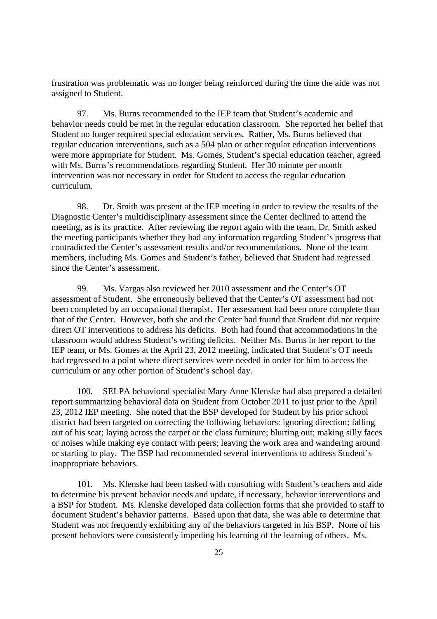frustration was problematic was no longer being reinforced during the time the aide was not assigned to Student.

97. Ms. Burns recommended to the IEP team that Student's academic and behavior needs could be met in the regular education classroom. She reported her belief that Student no longer required special education services. Rather, Ms. Burns believed that regular education interventions, such as a 504 plan or other regular education interventions were more appropriate for Student. Ms. Gomes, Student's special education teacher, agreed with Ms. Burns's recommendations regarding Student. Her 30 minute per month intervention was not necessary in order for Student to access the regular education curriculum.

98. Dr. Smith was present at the IEP meeting in order to review the results of the Diagnostic Center's multidisciplinary assessment since the Center declined to attend the meeting, as is its practice. After reviewing the report again with the team, Dr. Smith asked the meeting participants whether they had any information regarding Student's progress that contradicted the Center's assessment results and/or recommendations. None of the team members, including Ms. Gomes and Student's father, believed that Student had regressed since the Center's assessment.

99. Ms. Vargas also reviewed her 2010 assessment and the Center's OT assessment of Student. She erroneously believed that the Center's OT assessment had not been completed by an occupational therapist. Her assessment had been more complete than that of the Center. However, both she and the Center had found that Student did not require direct OT interventions to address his deficits. Both had found that accommodations in the classroom would address Student's writing deficits. Neither Ms. Burns in her report to the IEP team, or Ms. Gomes at the April 23, 2012 meeting, indicated that Student's OT needs had regressed to a point where direct services were needed in order for him to access the curriculum or any other portion of Student's school day.

100. SELPA behavioral specialist Mary Anne Klenske had also prepared a detailed report summarizing behavioral data on Student from October 2011 to just prior to the April 23, 2012 IEP meeting. She noted that the BSP developed for Student by his prior school district had been targeted on correcting the following behaviors: ignoring direction; falling out of his seat; laying across the carpet or the class furniture; blurting out; making silly faces or noises while making eye contact with peers; leaving the work area and wandering around or starting to play. The BSP had recommended several interventions to address Student's inappropriate behaviors.

101. Ms. Klenske had been tasked with consulting with Student's teachers and aide to determine his present behavior needs and update, if necessary, behavior interventions and a BSP for Student. Ms. Klenske developed data collection forms that she provided to staff to document Student's behavior patterns. Based upon that data, she was able to determine that Student was not frequently exhibiting any of the behaviors targeted in his BSP. None of his present behaviors were consistently impeding his learning of the learning of others. Ms.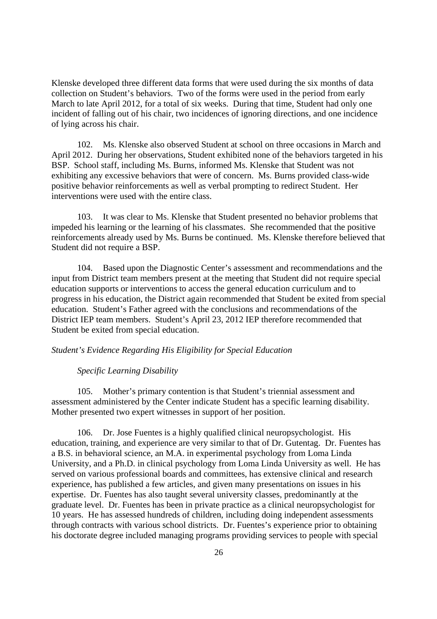Klenske developed three different data forms that were used during the six months of data collection on Student's behaviors. Two of the forms were used in the period from early March to late April 2012, for a total of six weeks. During that time, Student had only one incident of falling out of his chair, two incidences of ignoring directions, and one incidence of lying across his chair.

102. Ms. Klenske also observed Student at school on three occasions in March and April 2012. During her observations, Student exhibited none of the behaviors targeted in his BSP. School staff, including Ms. Burns, informed Ms. Klenske that Student was not exhibiting any excessive behaviors that were of concern. Ms. Burns provided class-wide positive behavior reinforcements as well as verbal prompting to redirect Student. Her interventions were used with the entire class.

103. It was clear to Ms. Klenske that Student presented no behavior problems that impeded his learning or the learning of his classmates. She recommended that the positive reinforcements already used by Ms. Burns be continued. Ms. Klenske therefore believed that Student did not require a BSP.

104. Based upon the Diagnostic Center's assessment and recommendations and the input from District team members present at the meeting that Student did not require special education supports or interventions to access the general education curriculum and to progress in his education, the District again recommended that Student be exited from special education. Student's Father agreed with the conclusions and recommendations of the District IEP team members. Student's April 23, 2012 IEP therefore recommended that Student be exited from special education.

## *Student's Evidence Regarding His Eligibility for Special Education*

## *Specific Learning Disability*

105. Mother's primary contention is that Student's triennial assessment and assessment administered by the Center indicate Student has a specific learning disability. Mother presented two expert witnesses in support of her position.

106. Dr. Jose Fuentes is a highly qualified clinical neuropsychologist. His education, training, and experience are very similar to that of Dr. Gutentag. Dr. Fuentes has a B.S. in behavioral science, an M.A. in experimental psychology from Loma Linda University, and a Ph.D. in clinical psychology from Loma Linda University as well. He has served on various professional boards and committees, has extensive clinical and research experience, has published a few articles, and given many presentations on issues in his expertise. Dr. Fuentes has also taught several university classes, predominantly at the graduate level. Dr. Fuentes has been in private practice as a clinical neuropsychologist for 10 years. He has assessed hundreds of children, including doing independent assessments through contracts with various school districts. Dr. Fuentes's experience prior to obtaining his doctorate degree included managing programs providing services to people with special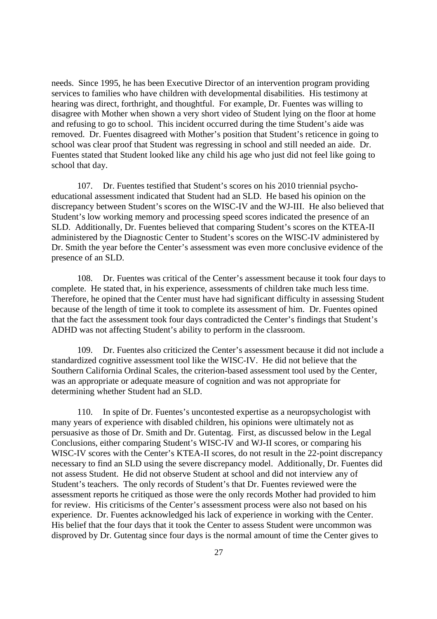needs. Since 1995, he has been Executive Director of an intervention program providing services to families who have children with developmental disabilities. His testimony at hearing was direct, forthright, and thoughtful. For example, Dr. Fuentes was willing to disagree with Mother when shown a very short video of Student lying on the floor at home and refusing to go to school. This incident occurred during the time Student's aide was removed. Dr. Fuentes disagreed with Mother's position that Student's reticence in going to school was clear proof that Student was regressing in school and still needed an aide. Dr. Fuentes stated that Student looked like any child his age who just did not feel like going to school that day.

107. Dr. Fuentes testified that Student's scores on his 2010 triennial psychoeducational assessment indicated that Student had an SLD. He based his opinion on the discrepancy between Student's scores on the WISC-IV and the WJ-III. He also believed that Student's low working memory and processing speed scores indicated the presence of an SLD. Additionally, Dr. Fuentes believed that comparing Student's scores on the KTEA-II administered by the Diagnostic Center to Student's scores on the WISC-IV administered by Dr. Smith the year before the Center's assessment was even more conclusive evidence of the presence of an SLD.

108. Dr. Fuentes was critical of the Center's assessment because it took four days to complete. He stated that, in his experience, assessments of children take much less time. Therefore, he opined that the Center must have had significant difficulty in assessing Student because of the length of time it took to complete its assessment of him. Dr. Fuentes opined that the fact the assessment took four days contradicted the Center's findings that Student's ADHD was not affecting Student's ability to perform in the classroom.

109. Dr. Fuentes also criticized the Center's assessment because it did not include a standardized cognitive assessment tool like the WISC-IV. He did not believe that the Southern California Ordinal Scales, the criterion-based assessment tool used by the Center, was an appropriate or adequate measure of cognition and was not appropriate for determining whether Student had an SLD.

110. In spite of Dr. Fuentes's uncontested expertise as a neuropsychologist with many years of experience with disabled children, his opinions were ultimately not as persuasive as those of Dr. Smith and Dr. Gutentag. First, as discussed below in the Legal Conclusions, either comparing Student's WISC-IV and WJ-II scores, or comparing his WISC-IV scores with the Center's KTEA-II scores, do not result in the 22-point discrepancy necessary to find an SLD using the severe discrepancy model. Additionally, Dr. Fuentes did not assess Student. He did not observe Student at school and did not interview any of Student's teachers. The only records of Student's that Dr. Fuentes reviewed were the assessment reports he critiqued as those were the only records Mother had provided to him for review. His criticisms of the Center's assessment process were also not based on his experience. Dr. Fuentes acknowledged his lack of experience in working with the Center. His belief that the four days that it took the Center to assess Student were uncommon was disproved by Dr. Gutentag since four days is the normal amount of time the Center gives to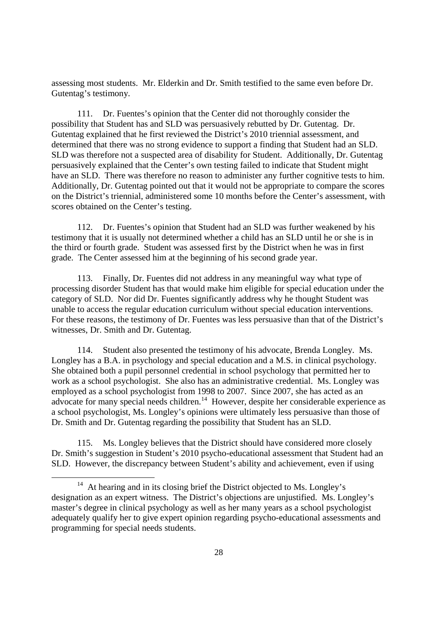assessing most students. Mr. Elderkin and Dr. Smith testified to the same even before Dr. Gutentag's testimony.

111. Dr. Fuentes's opinion that the Center did not thoroughly consider the possibility that Student has and SLD was persuasively rebutted by Dr. Gutentag. Dr. Gutentag explained that he first reviewed the District's 2010 triennial assessment, and determined that there was no strong evidence to support a finding that Student had an SLD. SLD was therefore not a suspected area of disability for Student. Additionally, Dr. Gutentag persuasively explained that the Center's own testing failed to indicate that Student might have an SLD. There was therefore no reason to administer any further cognitive tests to him. Additionally, Dr. Gutentag pointed out that it would not be appropriate to compare the scores on the District's triennial, administered some 10 months before the Center's assessment, with scores obtained on the Center's testing.

112. Dr. Fuentes's opinion that Student had an SLD was further weakened by his testimony that it is usually not determined whether a child has an SLD until he or she is in the third or fourth grade. Student was assessed first by the District when he was in first grade. The Center assessed him at the beginning of his second grade year.

113. Finally, Dr. Fuentes did not address in any meaningful way what type of processing disorder Student has that would make him eligible for special education under the category of SLD. Nor did Dr. Fuentes significantly address why he thought Student was unable to access the regular education curriculum without special education interventions. For these reasons, the testimony of Dr. Fuentes was less persuasive than that of the District's witnesses, Dr. Smith and Dr. Gutentag.

114. Student also presented the testimony of his advocate, Brenda Longley. Ms. Longley has a B.A. in psychology and special education and a M.S. in clinical psychology. She obtained both a pupil personnel credential in school psychology that permitted her to work as a school psychologist. She also has an administrative credential. Ms. Longley was employed as a school psychologist from 1998 to 2007. Since 2007, she has acted as an advocate for many special needs children.<sup>14</sup> However, despite her considerable experience as a school psychologist, Ms. Longley's opinions were ultimately less persuasive than those of Dr. Smith and Dr. Gutentag regarding the possibility that Student has an SLD.

115. Ms. Longley believes that the District should have considered more closely Dr. Smith's suggestion in Student's 2010 psycho-educational assessment that Student had an SLD. However, the discrepancy between Student's ability and achievement, even if using

<sup>&</sup>lt;sup>14</sup> At hearing and in its closing brief the District objected to Ms. Longley's designation as an expert witness. The District's objections are unjustified. Ms. Longley's master's degree in clinical psychology as well as her many years as a school psychologist adequately qualify her to give expert opinion regarding psycho-educational assessments and programming for special needs students.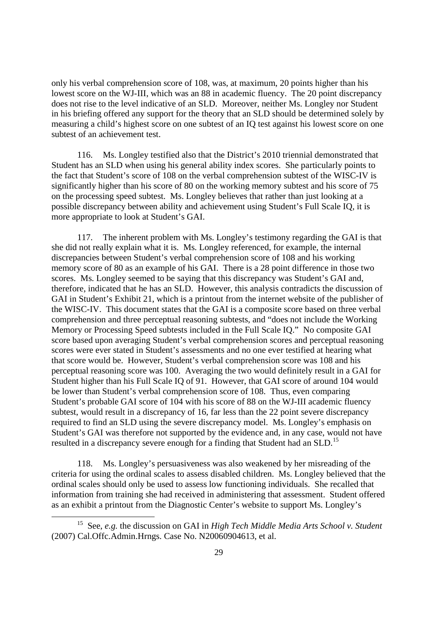only his verbal comprehension score of 108, was, at maximum, 20 points higher than his lowest score on the WJ-III, which was an 88 in academic fluency. The 20 point discrepancy does not rise to the level indicative of an SLD. Moreover, neither Ms. Longley nor Student in his briefing offered any support for the theory that an SLD should be determined solely by measuring a child's highest score on one subtest of an IQ test against his lowest score on one subtest of an achievement test.

116. Ms. Longley testified also that the District's 2010 triennial demonstrated that Student has an SLD when using his general ability index scores. She particularly points to the fact that Student's score of 108 on the verbal comprehension subtest of the WISC-IV is significantly higher than his score of 80 on the working memory subtest and his score of 75 on the processing speed subtest. Ms. Longley believes that rather than just looking at a possible discrepancy between ability and achievement using Student's Full Scale IQ, it is more appropriate to look at Student's GAI.

117. The inherent problem with Ms. Longley's testimony regarding the GAI is that she did not really explain what it is. Ms. Longley referenced, for example, the internal discrepancies between Student's verbal comprehension score of 108 and his working memory score of 80 as an example of his GAI. There is a 28 point difference in those two scores. Ms. Longley seemed to be saying that this discrepancy was Student's GAI and, therefore, indicated that he has an SLD. However, this analysis contradicts the discussion of GAI in Student's Exhibit 21, which is a printout from the internet website of the publisher of the WISC-IV. This document states that the GAI is a composite score based on three verbal comprehension and three perceptual reasoning subtests, and "does not include the Working Memory or Processing Speed subtests included in the Full Scale IQ." No composite GAI score based upon averaging Student's verbal comprehension scores and perceptual reasoning scores were ever stated in Student's assessments and no one ever testified at hearing what that score would be. However, Student's verbal comprehension score was 108 and his perceptual reasoning score was 100. Averaging the two would definitely result in a GAI for Student higher than his Full Scale IQ of 91. However, that GAI score of around 104 would be lower than Student's verbal comprehension score of 108. Thus, even comparing Student's probable GAI score of 104 with his score of 88 on the WJ-III academic fluency subtest, would result in a discrepancy of 16, far less than the 22 point severe discrepancy required to find an SLD using the severe discrepancy model. Ms. Longley's emphasis on Student's GAI was therefore not supported by the evidence and, in any case, would not have resulted in a discrepancy severe enough for a finding that Student had an SLD.<sup>15</sup>

118. Ms. Longley's persuasiveness was also weakened by her misreading of the criteria for using the ordinal scales to assess disabled children. Ms. Longley believed that the ordinal scales should only be used to assess low functioning individuals. She recalled that information from training she had received in administering that assessment. Student offered as an exhibit a printout from the Diagnostic Center's website to support Ms. Longley's

<sup>15</sup> See, *e.g.* the discussion on GAI in *High Tech Middle Media Arts School v. Student* (2007) Cal.Offc.Admin.Hrngs. Case No. N20060904613, et al.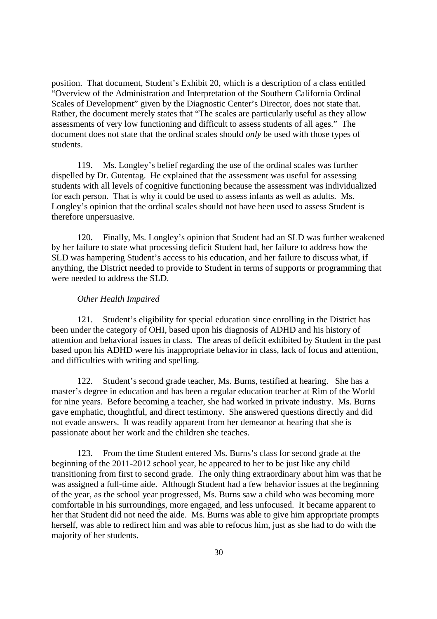position. That document, Student's Exhibit 20, which is a description of a class entitled "Overview of the Administration and Interpretation of the Southern California Ordinal Scales of Development" given by the Diagnostic Center's Director, does not state that. Rather, the document merely states that "The scales are particularly useful as they allow assessments of very low functioning and difficult to assess students of all ages." The document does not state that the ordinal scales should *only* be used with those types of students.

119. Ms. Longley's belief regarding the use of the ordinal scales was further dispelled by Dr. Gutentag. He explained that the assessment was useful for assessing students with all levels of cognitive functioning because the assessment was individualized for each person. That is why it could be used to assess infants as well as adults. Ms. Longley's opinion that the ordinal scales should not have been used to assess Student is therefore unpersuasive.

120. Finally, Ms. Longley's opinion that Student had an SLD was further weakened by her failure to state what processing deficit Student had, her failure to address how the SLD was hampering Student's access to his education, and her failure to discuss what, if anything, the District needed to provide to Student in terms of supports or programming that were needed to address the SLD.

## *Other Health Impaired*

121. Student's eligibility for special education since enrolling in the District has been under the category of OHI, based upon his diagnosis of ADHD and his history of attention and behavioral issues in class. The areas of deficit exhibited by Student in the past based upon his ADHD were his inappropriate behavior in class, lack of focus and attention, and difficulties with writing and spelling.

122. Student's second grade teacher, Ms. Burns, testified at hearing. She has a master's degree in education and has been a regular education teacher at Rim of the World for nine years. Before becoming a teacher, she had worked in private industry. Ms. Burns gave emphatic, thoughtful, and direct testimony. She answered questions directly and did not evade answers. It was readily apparent from her demeanor at hearing that she is passionate about her work and the children she teaches.

123. From the time Student entered Ms. Burns's class for second grade at the beginning of the 2011-2012 school year, he appeared to her to be just like any child transitioning from first to second grade. The only thing extraordinary about him was that he was assigned a full-time aide. Although Student had a few behavior issues at the beginning of the year, as the school year progressed, Ms. Burns saw a child who was becoming more comfortable in his surroundings, more engaged, and less unfocused. It became apparent to her that Student did not need the aide. Ms. Burns was able to give him appropriate prompts herself, was able to redirect him and was able to refocus him, just as she had to do with the majority of her students.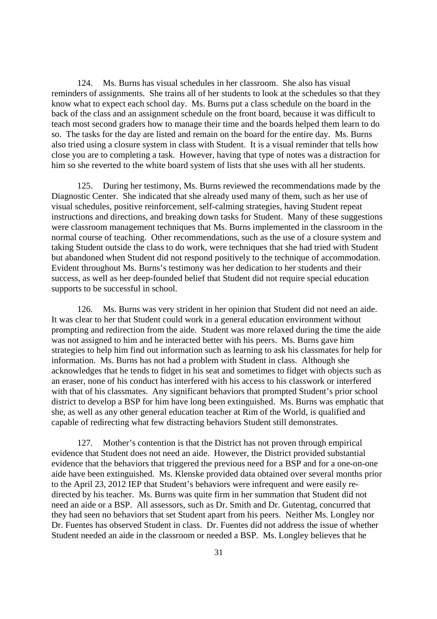124. Ms. Burns has visual schedules in her classroom. She also has visual reminders of assignments. She trains all of her students to look at the schedules so that they know what to expect each school day. Ms. Burns put a class schedule on the board in the back of the class and an assignment schedule on the front board, because it was difficult to teach most second graders how to manage their time and the boards helped them learn to do so. The tasks for the day are listed and remain on the board for the entire day. Ms. Burns also tried using a closure system in class with Student. It is a visual reminder that tells how close you are to completing a task. However, having that type of notes was a distraction for him so she reverted to the white board system of lists that she uses with all her students.

125. During her testimony, Ms. Burns reviewed the recommendations made by the Diagnostic Center. She indicated that she already used many of them, such as her use of visual schedules, positive reinforcement, self-calming strategies, having Student repeat instructions and directions, and breaking down tasks for Student. Many of these suggestions were classroom management techniques that Ms. Burns implemented in the classroom in the normal course of teaching. Other recommendations, such as the use of a closure system and taking Student outside the class to do work, were techniques that she had tried with Student but abandoned when Student did not respond positively to the technique of accommodation. Evident throughout Ms. Burns's testimony was her dedication to her students and their success, as well as her deep-founded belief that Student did not require special education supports to be successful in school.

126. Ms. Burns was very strident in her opinion that Student did not need an aide. It was clear to her that Student could work in a general education environment without prompting and redirection from the aide. Student was more relaxed during the time the aide was not assigned to him and he interacted better with his peers. Ms. Burns gave him strategies to help him find out information such as learning to ask his classmates for help for information. Ms. Burns has not had a problem with Student in class. Although she acknowledges that he tends to fidget in his seat and sometimes to fidget with objects such as an eraser, none of his conduct has interfered with his access to his classwork or interfered with that of his classmates. Any significant behaviors that prompted Student's prior school district to develop a BSP for him have long been extinguished. Ms. Burns was emphatic that she, as well as any other general education teacher at Rim of the World, is qualified and capable of redirecting what few distracting behaviors Student still demonstrates.

127. Mother's contention is that the District has not proven through empirical evidence that Student does not need an aide. However, the District provided substantial evidence that the behaviors that triggered the previous need for a BSP and for a one-on-one aide have been extinguished. Ms. Klenske provided data obtained over several months prior to the April 23, 2012 IEP that Student's behaviors were infrequent and were easily redirected by his teacher. Ms. Burns was quite firm in her summation that Student did not need an aide or a BSP. All assessors, such as Dr. Smith and Dr. Gutentag, concurred that they had seen no behaviors that set Student apart from his peers. Neither Ms. Longley nor Dr. Fuentes has observed Student in class. Dr. Fuentes did not address the issue of whether Student needed an aide in the classroom or needed a BSP. Ms. Longley believes that he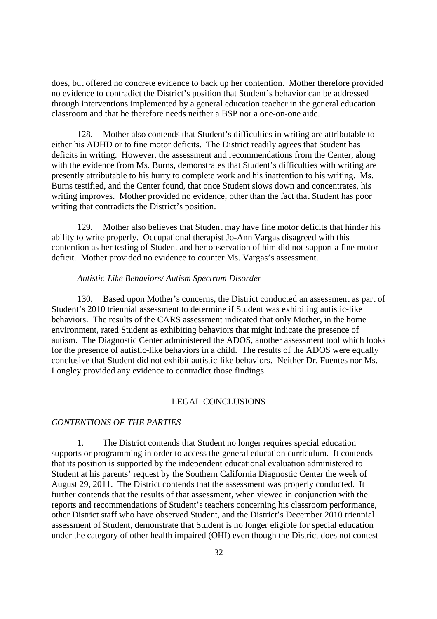does, but offered no concrete evidence to back up her contention. Mother therefore provided no evidence to contradict the District's position that Student's behavior can be addressed through interventions implemented by a general education teacher in the general education classroom and that he therefore needs neither a BSP nor a one-on-one aide.

128. Mother also contends that Student's difficulties in writing are attributable to either his ADHD or to fine motor deficits. The District readily agrees that Student has deficits in writing. However, the assessment and recommendations from the Center, along with the evidence from Ms. Burns, demonstrates that Student's difficulties with writing are presently attributable to his hurry to complete work and his inattention to his writing. Ms. Burns testified, and the Center found, that once Student slows down and concentrates, his writing improves. Mother provided no evidence, other than the fact that Student has poor writing that contradicts the District's position.

129. Mother also believes that Student may have fine motor deficits that hinder his ability to write properly. Occupational therapist Jo-Ann Vargas disagreed with this contention as her testing of Student and her observation of him did not support a fine motor deficit. Mother provided no evidence to counter Ms. Vargas's assessment.

## *Autistic-Like Behaviors/ Autism Spectrum Disorder*

130. Based upon Mother's concerns, the District conducted an assessment as part of Student's 2010 triennial assessment to determine if Student was exhibiting autistic-like behaviors. The results of the CARS assessment indicated that only Mother, in the home environment, rated Student as exhibiting behaviors that might indicate the presence of autism. The Diagnostic Center administered the ADOS, another assessment tool which looks for the presence of autistic-like behaviors in a child. The results of the ADOS were equally conclusive that Student did not exhibit autistic-like behaviors. Neither Dr. Fuentes nor Ms. Longley provided any evidence to contradict those findings.

## LEGAL CONCLUSIONS

## *CONTENTIONS OF THE PARTIES*

1. The District contends that Student no longer requires special education supports or programming in order to access the general education curriculum. It contends that its position is supported by the independent educational evaluation administered to Student at his parents' request by the Southern California Diagnostic Center the week of August 29, 2011. The District contends that the assessment was properly conducted. It further contends that the results of that assessment, when viewed in conjunction with the reports and recommendations of Student's teachers concerning his classroom performance, other District staff who have observed Student, and the District's December 2010 triennial assessment of Student, demonstrate that Student is no longer eligible for special education under the category of other health impaired (OHI) even though the District does not contest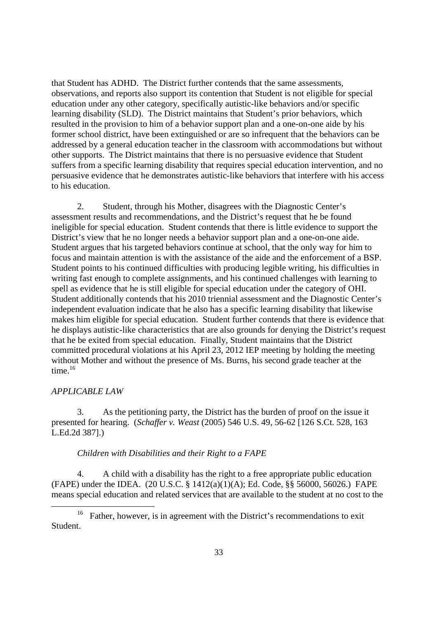that Student has ADHD. The District further contends that the same assessments, observations, and reports also support its contention that Student is not eligible for special education under any other category, specifically autistic-like behaviors and/or specific learning disability (SLD). The District maintains that Student's prior behaviors, which resulted in the provision to him of a behavior support plan and a one-on-one aide by his former school district, have been extinguished or are so infrequent that the behaviors can be addressed by a general education teacher in the classroom with accommodations but without other supports. The District maintains that there is no persuasive evidence that Student suffers from a specific learning disability that requires special education intervention, and no persuasive evidence that he demonstrates autistic-like behaviors that interfere with his access to his education.

2. Student, through his Mother, disagrees with the Diagnostic Center's assessment results and recommendations, and the District's request that he be found ineligible for special education. Student contends that there is little evidence to support the District's view that he no longer needs a behavior support plan and a one-on-one aide. Student argues that his targeted behaviors continue at school, that the only way for him to focus and maintain attention is with the assistance of the aide and the enforcement of a BSP. Student points to his continued difficulties with producing legible writing, his difficulties in writing fast enough to complete assignments, and his continued challenges with learning to spell as evidence that he is still eligible for special education under the category of OHI. Student additionally contends that his 2010 triennial assessment and the Diagnostic Center's independent evaluation indicate that he also has a specific learning disability that likewise makes him eligible for special education. Student further contends that there is evidence that he displays autistic-like characteristics that are also grounds for denying the District's request that he be exited from special education. Finally, Student maintains that the District committed procedural violations at his April 23, 2012 IEP meeting by holding the meeting without Mother and without the presence of Ms. Burns, his second grade teacher at the time. $16$ 

## *APPLICABLE LAW*

3. As the petitioning party, the District has the burden of proof on the issue it presented for hearing. (*Schaffer v. Weast* (2005) 546 U.S. 49, 56-62 [126 S.Ct. 528, 163 L.Ed.2d 387].)

## *Children with Disabilities and their Right to a FAPE*

4. A child with a disability has the right to a free appropriate public education (FAPE) under the IDEA. (20 U.S.C. § 1412(a)(1)(A); Ed. Code, §§ 56000, 56026.) FAPE means special education and related services that are available to the student at no cost to the

<sup>&</sup>lt;sup>16</sup> Father, however, is in agreement with the District's recommendations to exit Student.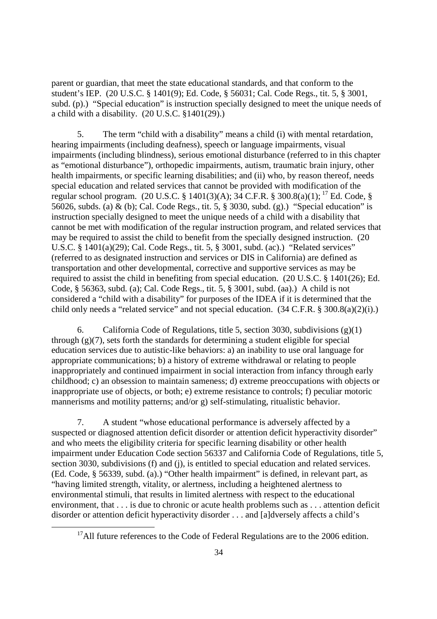parent or guardian, that meet the state educational standards, and that conform to the student's IEP. (20 U.S.C. § 1401(9); Ed. Code, § 56031; Cal. Code Regs., tit. 5, § 3001, subd. (p).) "Special education" is instruction specially designed to meet the unique needs of a child with a disability. (20 U.S.C. §1401(29).)

5. The term "child with a disability" means a child (i) with mental retardation, hearing impairments (including deafness), speech or language impairments, visual impairments (including blindness), serious emotional disturbance (referred to in this chapter as "emotional disturbance"), orthopedic impairments, autism, traumatic brain injury, other health impairments, or specific learning disabilities; and (ii) who, by reason thereof, needs special education and related services that cannot be provided with modification of the regular school program. (20 U.S.C. § 1401(3)(A); 34 C.F.R. § 300.8(a)(1); <sup>17</sup> Ed. Code, § 56026, subds. (a) & (b); Cal. Code Regs., tit. 5, § 3030, subd. (g).) "Special education" is instruction specially designed to meet the unique needs of a child with a disability that cannot be met with modification of the regular instruction program, and related services that may be required to assist the child to benefit from the specially designed instruction. (20 U.S.C. § 1401(a)(29); Cal. Code Regs., tit. 5, § 3001, subd. (ac).) "Related services" (referred to as designated instruction and services or DIS in California) are defined as transportation and other developmental, corrective and supportive services as may be required to assist the child in benefiting from special education. (20 U.S.C. § 1401(26); Ed. Code, § 56363, subd. (a); Cal. Code Regs., tit. 5, § 3001, subd. (aa).) A child is not considered a "child with a disability" for purposes of the IDEA if it is determined that the child only needs a "related service" and not special education. (34 C.F.R. § 300.8(a)(2)(i).)

6. California Code of Regulations, title 5, section 3030, subdivisions (g)(1) through  $(g)(7)$ , sets forth the standards for determining a student eligible for special education services due to autistic-like behaviors: a) an inability to use oral language for appropriate communications; b) a history of extreme withdrawal or relating to people inappropriately and continued impairment in social interaction from infancy through early childhood; c) an obsession to maintain sameness; d) extreme preoccupations with objects or inappropriate use of objects, or both; e) extreme resistance to controls; f) peculiar motoric mannerisms and motility patterns; and/or g) self-stimulating, ritualistic behavior.

7. A student "whose educational performance is adversely affected by a suspected or diagnosed attention deficit disorder or attention deficit hyperactivity disorder" and who meets the eligibility criteria for specific learning disability or other health impairment under Education Code section 56337 and California Code of Regulations, title 5, section 3030, subdivisions (f) and (j), is entitled to special education and related services. (Ed. Code, § 56339, subd. (a).) "Other health impairment" is defined, in relevant part, as "having limited strength, vitality, or alertness, including a heightened alertness to environmental stimuli, that results in limited alertness with respect to the educational environment, that . . . is due to chronic or acute health problems such as . . . attention deficit disorder or attention deficit hyperactivity disorder . . . and [a]dversely affects a child's

 $17$ All future references to the Code of Federal Regulations are to the 2006 edition.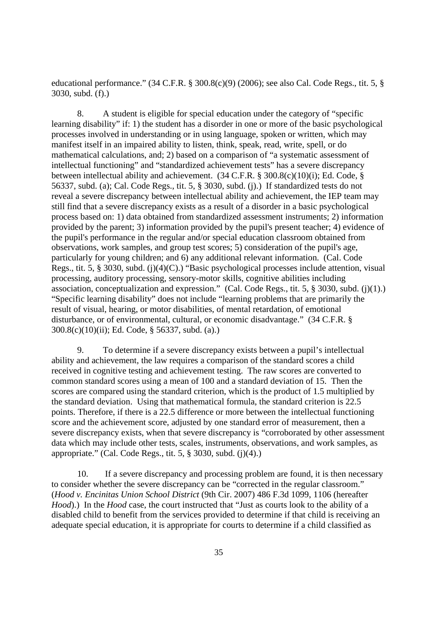educational performance." (34 C.F.R. § 300.8(c)(9) (2006); see also Cal. Code Regs., tit. 5, § 3030, subd. (f).)

8. A student is eligible for special education under the category of "specific learning disability" if: 1) the student has a disorder in one or more of the basic psychological processes involved in understanding or in using language, spoken or written, which may manifest itself in an impaired ability to listen, think, speak, read, write, spell, or do mathematical calculations, and; 2) based on a comparison of "a systematic assessment of intellectual functioning" and "standardized achievement tests" has a severe discrepancy between intellectual ability and achievement. (34 C.F.R. § 300.8(c)(10)(i); Ed. Code, § 56337, subd. (a); Cal. Code Regs., tit. 5, § 3030, subd. (j).) If standardized tests do not reveal a severe discrepancy between intellectual ability and achievement, the IEP team may still find that a severe discrepancy exists as a result of a disorder in a basic psychological process based on: 1) data obtained from standardized assessment instruments; 2) information provided by the parent; 3) information provided by the pupil's present teacher; 4) evidence of the pupil's performance in the regular and/or special education classroom obtained from observations, work samples, and group test scores; 5) consideration of the pupil's age, particularly for young children; and 6) any additional relevant information. (Cal. Code Regs., tit. 5, § 3030, subd. (j)(4)(C).) "Basic psychological processes include attention, visual processing, auditory processing, sensory-motor skills, cognitive abilities including association, conceptualization and expression." (Cal. Code Regs., tit. 5, § 3030, subd. (j)(1).) "Specific learning disability" does not include "learning problems that are primarily the result of visual, hearing, or motor disabilities, of mental retardation, of emotional disturbance, or of environmental, cultural, or economic disadvantage." (34 C.F.R. § 300.8(c)(10)(ii); Ed. Code, § 56337, subd. (a).)

9. To determine if a severe discrepancy exists between a pupil's intellectual ability and achievement, the law requires a comparison of the standard scores a child received in cognitive testing and achievement testing. The raw scores are converted to common standard scores using a mean of 100 and a standard deviation of 15. Then the scores are compared using the standard criterion, which is the product of 1.5 multiplied by the standard deviation. Using that mathematical formula, the standard criterion is 22.5 points. Therefore, if there is a 22.5 difference or more between the intellectual functioning score and the achievement score, adjusted by one standard error of measurement, then a severe discrepancy exists, when that severe discrepancy is "corroborated by other assessment data which may include other tests, scales, instruments, observations, and work samples, as appropriate." (Cal. Code Regs., tit. 5, § 3030, subd. (j)(4).)

10. If a severe discrepancy and processing problem are found, it is then necessary to consider whether the severe discrepancy can be "corrected in the regular classroom." (*Hood v. Encinitas Union School District* (9th Cir. 2007) 486 F.3d 1099, 1106 (hereafter *Hood*).) In the *Hood* case, the court instructed that "Just as courts look to the ability of a disabled child to benefit from the services provided to determine if that child is receiving an adequate special education, it is appropriate for courts to determine if a child classified as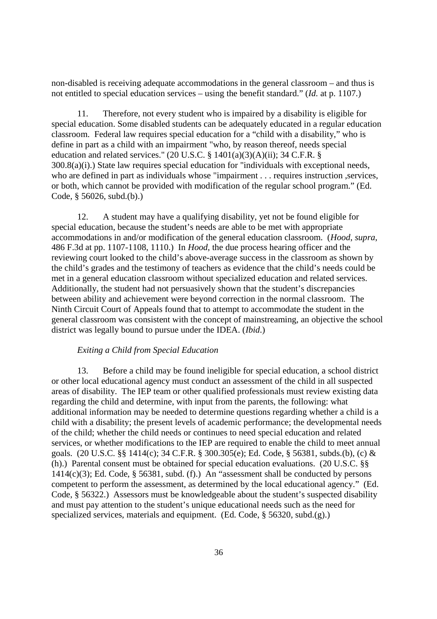non-disabled is receiving adequate accommodations in the general classroom – and thus is not entitled to special education services – using the benefit standard." (*Id.* at p. 1107.)

11. Therefore, not every student who is impaired by a disability is eligible for special education. Some disabled students can be adequately educated in a regular education classroom. Federal law requires special education for a "child with a disability," who is define in part as a child with an impairment "who, by reason thereof, needs special education and related services." (20 U.S.C.  $\S$  1401(a)(3)(A)(ii); 34 C.F.R.  $\S$ 300.8(a)(i).) State law requires special education for "individuals with exceptional needs, who are defined in part as individuals whose "impairment . . . requires instruction , services, or both, which cannot be provided with modification of the regular school program." (Ed. Code, § 56026, subd.(b).)

12. A student may have a qualifying disability, yet not be found eligible for special education, because the student's needs are able to be met with appropriate accommodations in and/or modification of the general education classroom. (*Hood*, *supra*, 486 F.3d at pp. 1107-1108, 1110.) In *Hood*, the due process hearing officer and the reviewing court looked to the child's above-average success in the classroom as shown by the child's grades and the testimony of teachers as evidence that the child's needs could be met in a general education classroom without specialized education and related services. Additionally, the student had not persuasively shown that the student's discrepancies between ability and achievement were beyond correction in the normal classroom. The Ninth Circuit Court of Appeals found that to attempt to accommodate the student in the general classroom was consistent with the concept of mainstreaming, an objective the school district was legally bound to pursue under the IDEA. (*Ibid*.)

## *Exiting a Child from Special Education*

13. Before a child may be found ineligible for special education, a school district or other local educational agency must conduct an assessment of the child in all suspected areas of disability. The IEP team or other qualified professionals must review existing data regarding the child and determine, with input from the parents, the following: what additional information may be needed to determine questions regarding whether a child is a child with a disability; the present levels of academic performance; the developmental needs of the child; whether the child needs or continues to need special education and related services, or whether modifications to the IEP are required to enable the child to meet annual goals. (20 U.S.C. §§ 1414(c); 34 C.F.R. § 300.305(e); Ed. Code, § 56381, subds.(b), (c) & (h).) Parental consent must be obtained for special education evaluations. (20 U.S.C. §§  $1414(c)(3)$ ; Ed. Code, § 56381, subd. (f).) An "assessment shall be conducted by persons competent to perform the assessment, as determined by the local educational agency." (Ed. Code, § 56322.) Assessors must be knowledgeable about the student's suspected disability and must pay attention to the student's unique educational needs such as the need for specialized services, materials and equipment. (Ed. Code, § 56320, subd.(g).)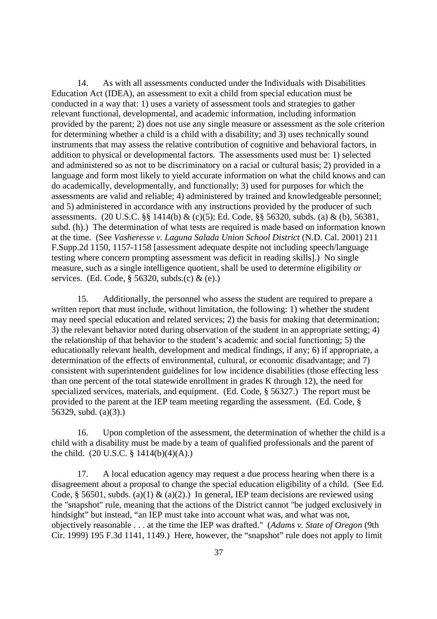14. As with all assessments conducted under the Individuals with Disabilities Education Act (IDEA), an assessment to exit a child from special education must be conducted in a way that: 1) uses a variety of assessment tools and strategies to gather relevant functional, developmental, and academic information, including information provided by the parent; 2) does not use any single measure or assessment as the sole criterion for determining whether a child is a child with a disability; and 3) uses technically sound instruments that may assess the relative contribution of cognitive and behavioral factors, in addition to physical or developmental factors. The assessments used must be: 1) selected and administered so as not to be discriminatory on a racial or cultural basis; 2) provided in a language and form most likely to yield accurate information on what the child knows and can do academically, developmentally, and functionally; 3) used for purposes for which the assessments are valid and reliable; 4) administered by trained and knowledgeable personnel; and 5) administered in accordance with any instructions provided by the producer of such assessments. (20 U.S.C. §§ 1414(b) & (c)(5); Ed. Code, §§ 56320, subds. (a) & (b), 56381, subd. (h).) The determination of what tests are required is made based on information known at the time. (See *Vasheresse v. Laguna Salada Union School District* (N.D. Cal. 2001) 211 F.Supp.2d 1150, 1157-1158 [assessment adequate despite not including speech/language testing where concern prompting assessment was deficit in reading skills].) No single measure, such as a single intelligence quotient, shall be used to determine eligibility or services. (Ed. Code, § 56320, subds.(c) & (e).)

15. Additionally, the personnel who assess the student are required to prepare a written report that must include, without limitation, the following: 1) whether the student may need special education and related services; 2) the basis for making that determination; 3) the relevant behavior noted during observation of the student in an appropriate setting; 4) the relationship of that behavior to the student's academic and social functioning; 5) the educationally relevant health, development and medical findings, if any; 6) if appropriate, a determination of the effects of environmental, cultural, or economic disadvantage; and 7) consistent with superintendent guidelines for low incidence disabilities (those effecting less than one percent of the total statewide enrollment in grades K through 12), the need for specialized services, materials, and equipment. (Ed. Code, § 56327.) The report must be provided to the parent at the IEP team meeting regarding the assessment. (Ed. Code, § 56329, subd. (a)(3).)

16. Upon completion of the assessment, the determination of whether the child is a child with a disability must be made by a team of qualified professionals and the parent of the child.  $(20 \text{ U.S.C.} \S 1414(b)(4)(A))$ .

17. A local education agency may request a due process hearing when there is a disagreement about a proposal to change the special education eligibility of a child. (See Ed. Code, § 56501, subds. (a)(1) & (a)(2).) In general, IEP team decisions are reviewed using the "snapshot" rule, meaning that the actions of the District cannot "be judged exclusively in hindsight" but instead, "an IEP must take into account what was, and what was not, objectively reasonable . . . at the time the IEP was drafted." (*Adams v. State of Oregon* (9th Cir. 1999) 195 F.3d 1141, 1149.) Here, however, the "snapshot" rule does not apply to limit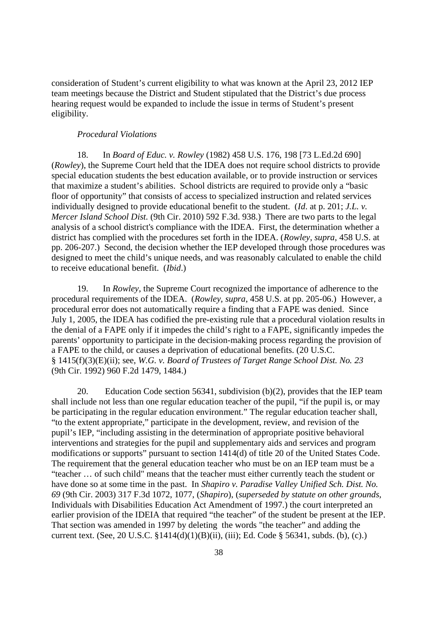consideration of Student's current eligibility to what was known at the April 23, 2012 IEP team meetings because the District and Student stipulated that the District's due process hearing request would be expanded to include the issue in terms of Student's present eligibility.

#### *Procedural Violations*

18. In *Board of Educ. v. Rowley* (1982) 458 U.S. 176, 198 [73 L.Ed.2d 690] (*Rowley*), the Supreme Court held that the IDEA does not require school districts to provide special education students the best education available, or to provide instruction or services that maximize a student's abilities. School districts are required to provide only a "basic floor of opportunity" that consists of access to specialized instruction and related services individually designed to provide educational benefit to the student. (*Id*. at p. 201; *J.L. v. Mercer Island School Dist.* (9th Cir. 2010) 592 F.3d. 938.) There are two parts to the legal analysis of a school district's compliance with the IDEA. First, the determination whether a district has complied with the procedures set forth in the IDEA. (*Rowley, supra*, 458 U.S. at pp. 206-207.) Second, the decision whether the IEP developed through those procedures was designed to meet the child's unique needs, and was reasonably calculated to enable the child to receive educational benefit. (*Ibid*.)

19. In *Rowley*, the Supreme Court recognized the importance of adherence to the procedural requirements of the IDEA. (*Rowley, supra*, 458 U.S. at pp. 205-06.) However, a procedural error does not automatically require a finding that a FAPE was denied. Since July 1, 2005, the IDEA has codified the pre-existing rule that a procedural violation results in the denial of a FAPE only if it impedes the child's right to a FAPE, significantly impedes the parents' opportunity to participate in the decision-making process regarding the provision of a FAPE to the child, or causes a deprivation of educational benefits. (20 U.S.C. § 1415(f)(3)(E)(ii); see, *W.G. v. Board of Trustees of Target Range School Dist. No. 23* (9th Cir. 1992) 960 F.2d 1479, 1484.)

20. Education Code section 56341, subdivision (b)(2), provides that the IEP team shall include not less than one regular education teacher of the pupil, "if the pupil is, or may be participating in the regular education environment." The regular education teacher shall, "to the extent appropriate," participate in the development, review, and revision of the pupil's IEP, "including assisting in the determination of appropriate positive behavioral interventions and strategies for the pupil and supplementary aids and services and program modifications or supports" pursuant to section 1414(d) of title 20 of the United States Code. The requirement that the general education teacher who must be on an IEP team must be a "teacher … of such child" means that the teacher must either currently teach the student or have done so at some time in the past. In *Shapiro v. Paradise Valley Unified Sch. Dist. No. 69* (9th Cir. 2003) 317 F.3d 1072, 1077, (*Shapiro*), (*superseded by statute on other grounds,* Individuals with Disabilities Education Act Amendment of 1997.) the court interpreted an earlier provision of the IDEIA that required "the teacher" of the student be present at the IEP. That section was amended in 1997 by deleting the words "the teacher" and adding the current text. (See, 20 U.S.C. §1414(d)(1)(B)(ii), (iii); Ed. Code § 56341, subds. (b), (c).)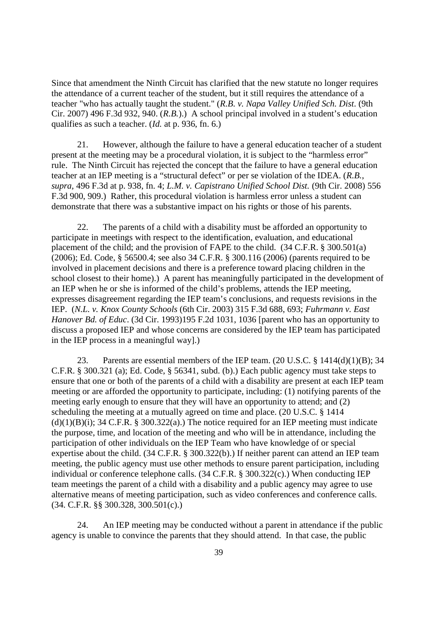Since that amendment the Ninth Circuit has clarified that the new statute no longer requires the attendance of a current teacher of the student, but it still requires the attendance of a teacher "who has actually taught the student." (*R.B. v. Napa Valley Unified Sch. Dist*. (9th Cir. 2007) 496 F.3d 932, 940. (*R.B.*).) A school principal involved in a student's education qualifies as such a teacher. (*Id.* at p. 936, fn. 6.)

21. However, although the failure to have a general education teacher of a student present at the meeting may be a procedural violation, it is subject to the "harmless error" rule. The Ninth Circuit has rejected the concept that the failure to have a general education teacher at an IEP meeting is a "structural defect" or per se violation of the IDEA. (*R.B.*, *supra,* 496 F.3d at p. 938, fn. 4; *L.M. v. Capistrano Unified School Dist.* (9th Cir. 2008) 556 F.3d 900, 909.) Rather, this procedural violation is harmless error unless a student can demonstrate that there was a substantive impact on his rights or those of his parents.

22. The parents of a child with a disability must be afforded an opportunity to participate in meetings with respect to the identification, evaluation, and educational placement of the child; and the provision of FAPE to the child. (34 C.F.R. § 300.501(a) (2006); Ed. Code, § 56500.4; see also 34 C.F.R. § 300.116 (2006) (parents required to be involved in placement decisions and there is a preference toward placing children in the school closest to their home).) A parent has meaningfully participated in the development of an IEP when he or she is informed of the child's problems, attends the IEP meeting, expresses disagreement regarding the IEP team's conclusions, and requests revisions in the IEP. (*N.L. v. Knox County Schools* (6th Cir. 2003) 315 F.3d 688, 693; *Fuhrmann v. East Hanover Bd. of Educ*. (3d Cir. 1993)195 F.2d 1031, 1036 [parent who has an opportunity to discuss a proposed IEP and whose concerns are considered by the IEP team has participated in the IEP process in a meaningful way].)

23. Parents are essential members of the IEP team. (20 U.S.C. § 1414(d)(1)(B); 34 C.F.R. § 300.321 (a); Ed. Code, § 56341, subd. (b).) Each public agency must take steps to ensure that one or both of the parents of a child with a disability are present at each IEP team meeting or are afforded the opportunity to participate, including: (1) notifying parents of the meeting early enough to ensure that they will have an opportunity to attend; and (2) scheduling the meeting at a mutually agreed on time and place. (20 U.S.C. § 1414  $(d)(1)(B)(i)$ ; 34 C.F.R. § 300.322(a).) The notice required for an IEP meeting must indicate the purpose, time, and location of the meeting and who will be in attendance, including the participation of other individuals on the IEP Team who have knowledge of or special expertise about the child. (34 C.F.R. § 300.322(b).) If neither parent can attend an IEP team meeting, the public agency must use other methods to ensure parent participation, including individual or conference telephone calls. (34 C.F.R. § 300.322(c).) When conducting IEP team meetings the parent of a child with a disability and a public agency may agree to use alternative means of meeting participation, such as video conferences and conference calls. (34. C.F.R. §§ 300.328, 300.501(c).)

24. An IEP meeting may be conducted without a parent in attendance if the public agency is unable to convince the parents that they should attend. In that case, the public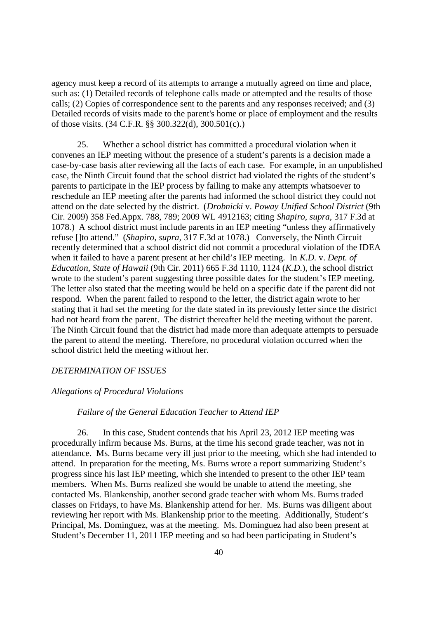agency must keep a record of its attempts to arrange a mutually agreed on time and place, such as: (1) Detailed records of telephone calls made or attempted and the results of those calls; (2) Copies of correspondence sent to the parents and any responses received; and (3) Detailed records of visits made to the parent's home or place of employment and the results of those visits. (34 C.F.R. §§ 300.322(d), 300.501(c).)

25. Whether a school district has committed a procedural violation when it convenes an IEP meeting without the presence of a student's parents is a decision made a case-by-case basis after reviewing all the facts of each case. For example, in an unpublished case, the Ninth Circuit found that the school district had violated the rights of the student's parents to participate in the IEP process by failing to make any attempts whatsoever to reschedule an IEP meeting after the parents had informed the school district they could not attend on the date selected by the district. (*Drobnicki* v. *Poway Unified School District* (9th Cir. 2009) 358 Fed.Appx. 788, 789; 2009 WL 4912163; citing *Shapiro*, *supra*, 317 F.3d at 1078.) A school district must include parents in an IEP meeting "unless they affirmatively refuse []to attend." (*Shapiro, supra,* 317 F.3d at 1078.) Conversely, the Ninth Circuit recently determined that a school district did not commit a procedural violation of the IDEA when it failed to have a parent present at her child's IEP meeting. In *K.D.* v. *Dept. of Education, State of Hawaii* (9th Cir. 2011) 665 F.3d 1110, 1124 (*K.D.*), the school district wrote to the student's parent suggesting three possible dates for the student's IEP meeting. The letter also stated that the meeting would be held on a specific date if the parent did not respond. When the parent failed to respond to the letter, the district again wrote to her stating that it had set the meeting for the date stated in its previously letter since the district had not heard from the parent. The district thereafter held the meeting without the parent. The Ninth Circuit found that the district had made more than adequate attempts to persuade the parent to attend the meeting. Therefore, no procedural violation occurred when the school district held the meeting without her.

#### *DETERMINATION OF ISSUES*

## *Allegations of Procedural Violations*

### *Failure of the General Education Teacher to Attend IEP*

26. In this case, Student contends that his April 23, 2012 IEP meeting was procedurally infirm because Ms. Burns, at the time his second grade teacher, was not in attendance. Ms. Burns became very ill just prior to the meeting, which she had intended to attend. In preparation for the meeting, Ms. Burns wrote a report summarizing Student's progress since his last IEP meeting, which she intended to present to the other IEP team members. When Ms. Burns realized she would be unable to attend the meeting, she contacted Ms. Blankenship, another second grade teacher with whom Ms. Burns traded classes on Fridays, to have Ms. Blankenship attend for her. Ms. Burns was diligent about reviewing her report with Ms. Blankenship prior to the meeting. Additionally, Student's Principal, Ms. Dominguez, was at the meeting. Ms. Dominguez had also been present at Student's December 11, 2011 IEP meeting and so had been participating in Student's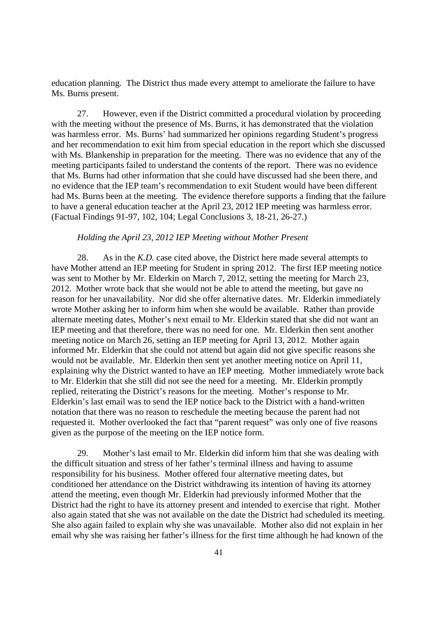education planning. The District thus made every attempt to ameliorate the failure to have Ms. Burns present.

27. However, even if the District committed a procedural violation by proceeding with the meeting without the presence of Ms. Burns, it has demonstrated that the violation was harmless error. Ms. Burns' had summarized her opinions regarding Student's progress and her recommendation to exit him from special education in the report which she discussed with Ms. Blankenship in preparation for the meeting. There was no evidence that any of the meeting participants failed to understand the contents of the report. There was no evidence that Ms. Burns had other information that she could have discussed had she been there, and no evidence that the IEP team's recommendation to exit Student would have been different had Ms. Burns been at the meeting. The evidence therefore supports a finding that the failure to have a general education teacher at the April 23, 2012 IEP meeting was harmless error. (Factual Findings 91-97, 102, 104; Legal Conclusions 3, 18-21, 26-27.)

#### *Holding the April 23, 2012 IEP Meeting without Mother Present*

28. As in the *K.D.* case cited above, the District here made several attempts to have Mother attend an IEP meeting for Student in spring 2012. The first IEP meeting notice was sent to Mother by Mr. Elderkin on March 7, 2012, setting the meeting for March 23, 2012. Mother wrote back that she would not be able to attend the meeting, but gave no reason for her unavailability. Nor did she offer alternative dates. Mr. Elderkin immediately wrote Mother asking her to inform him when she would be available. Rather than provide alternate meeting dates, Mother's next email to Mr. Elderkin stated that she did not want an IEP meeting and that therefore, there was no need for one. Mr. Elderkin then sent another meeting notice on March 26, setting an IEP meeting for April 13, 2012. Mother again informed Mr. Elderkin that she could not attend but again did not give specific reasons she would not be available. Mr. Elderkin then sent yet another meeting notice on April 11, explaining why the District wanted to have an IEP meeting. Mother immediately wrote back to Mr. Elderkin that she still did not see the need for a meeting. Mr. Elderkin promptly replied, reiterating the District's reasons for the meeting. Mother's response to Mr. Elderkin's last email was to send the IEP notice back to the District with a hand-written notation that there was no reason to reschedule the meeting because the parent had not requested it. Mother overlooked the fact that "parent request" was only one of five reasons given as the purpose of the meeting on the IEP notice form.

29. Mother's last email to Mr. Elderkin did inform him that she was dealing with the difficult situation and stress of her father's terminal illness and having to assume responsibility for his business. Mother offered four alternative meeting dates, but conditioned her attendance on the District withdrawing its intention of having its attorney attend the meeting, even though Mr. Elderkin had previously informed Mother that the District had the right to have its attorney present and intended to exercise that right. Mother also again stated that she was not available on the date the District had scheduled its meeting. She also again failed to explain why she was unavailable. Mother also did not explain in her email why she was raising her father's illness for the first time although he had known of the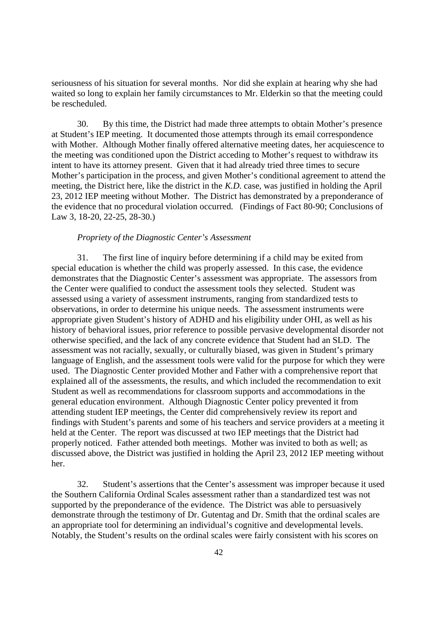seriousness of his situation for several months. Nor did she explain at hearing why she had waited so long to explain her family circumstances to Mr. Elderkin so that the meeting could be rescheduled.

30. By this time, the District had made three attempts to obtain Mother's presence at Student's IEP meeting. It documented those attempts through its email correspondence with Mother. Although Mother finally offered alternative meeting dates, her acquiescence to the meeting was conditioned upon the District acceding to Mother's request to withdraw its intent to have its attorney present. Given that it had already tried three times to secure Mother's participation in the process, and given Mother's conditional agreement to attend the meeting, the District here, like the district in the *K.D.* case, was justified in holding the April 23, 2012 IEP meeting without Mother. The District has demonstrated by a preponderance of the evidence that no procedural violation occurred. (Findings of Fact 80-90; Conclusions of Law 3, 18-20, 22-25, 28-30.)

#### *Propriety of the Diagnostic Center's Assessment*

31. The first line of inquiry before determining if a child may be exited from special education is whether the child was properly assessed. In this case, the evidence demonstrates that the Diagnostic Center's assessment was appropriate. The assessors from the Center were qualified to conduct the assessment tools they selected. Student was assessed using a variety of assessment instruments, ranging from standardized tests to observations, in order to determine his unique needs. The assessment instruments were appropriate given Student's history of ADHD and his eligibility under OHI, as well as his history of behavioral issues, prior reference to possible pervasive developmental disorder not otherwise specified, and the lack of any concrete evidence that Student had an SLD. The assessment was not racially, sexually, or culturally biased, was given in Student's primary language of English, and the assessment tools were valid for the purpose for which they were used. The Diagnostic Center provided Mother and Father with a comprehensive report that explained all of the assessments, the results, and which included the recommendation to exit Student as well as recommendations for classroom supports and accommodations in the general education environment. Although Diagnostic Center policy prevented it from attending student IEP meetings, the Center did comprehensively review its report and findings with Student's parents and some of his teachers and service providers at a meeting it held at the Center. The report was discussed at two IEP meetings that the District had properly noticed. Father attended both meetings. Mother was invited to both as well; as discussed above, the District was justified in holding the April 23, 2012 IEP meeting without her.

32. Student's assertions that the Center's assessment was improper because it used the Southern California Ordinal Scales assessment rather than a standardized test was not supported by the preponderance of the evidence. The District was able to persuasively demonstrate through the testimony of Dr. Gutentag and Dr. Smith that the ordinal scales are an appropriate tool for determining an individual's cognitive and developmental levels. Notably, the Student's results on the ordinal scales were fairly consistent with his scores on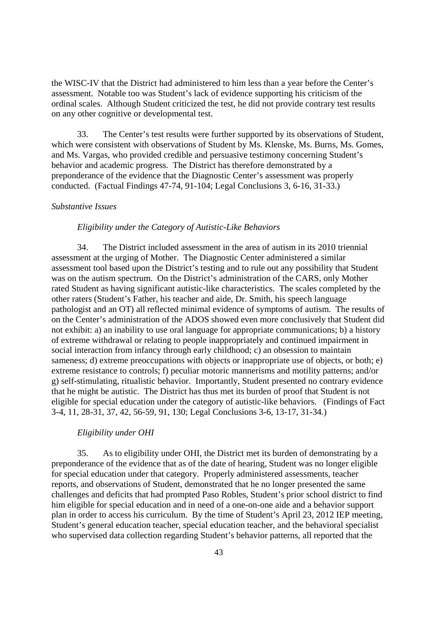the WISC-IV that the District had administered to him less than a year before the Center's assessment. Notable too was Student's lack of evidence supporting his criticism of the ordinal scales. Although Student criticized the test, he did not provide contrary test results on any other cognitive or developmental test.

33. The Center's test results were further supported by its observations of Student, which were consistent with observations of Student by Ms. Klenske, Ms. Burns, Ms. Gomes, and Ms. Vargas, who provided credible and persuasive testimony concerning Student's behavior and academic progress. The District has therefore demonstrated by a preponderance of the evidence that the Diagnostic Center's assessment was properly conducted. (Factual Findings 47-74, 91-104; Legal Conclusions 3, 6-16, 31-33.)

## *Substantive Issues*

#### *Eligibility under the Category of Autistic-Like Behaviors*

34. The District included assessment in the area of autism in its 2010 triennial assessment at the urging of Mother. The Diagnostic Center administered a similar assessment tool based upon the District's testing and to rule out any possibility that Student was on the autism spectrum. On the District's administration of the CARS, only Mother rated Student as having significant autistic-like characteristics. The scales completed by the other raters (Student's Father, his teacher and aide, Dr. Smith, his speech language pathologist and an OT) all reflected minimal evidence of symptoms of autism. The results of on the Center's administration of the ADOS showed even more conclusively that Student did not exhibit: a) an inability to use oral language for appropriate communications; b) a history of extreme withdrawal or relating to people inappropriately and continued impairment in social interaction from infancy through early childhood; c) an obsession to maintain sameness; d) extreme preoccupations with objects or inappropriate use of objects, or both; e) extreme resistance to controls; f) peculiar motoric mannerisms and motility patterns; and/or g) self-stimulating, ritualistic behavior. Importantly, Student presented no contrary evidence that he might be autistic. The District has thus met its burden of proof that Student is not eligible for special education under the category of autistic-like behaviors. (Findings of Fact 3-4, 11, 28-31, 37, 42, 56-59, 91, 130; Legal Conclusions 3-6, 13-17, 31-34.)

#### *Eligibility under OHI*

35. As to eligibility under OHI, the District met its burden of demonstrating by a preponderance of the evidence that as of the date of hearing, Student was no longer eligible for special education under that category. Properly administered assessments, teacher reports, and observations of Student, demonstrated that he no longer presented the same challenges and deficits that had prompted Paso Robles, Student's prior school district to find him eligible for special education and in need of a one-on-one aide and a behavior support plan in order to access his curriculum. By the time of Student's April 23, 2012 IEP meeting, Student's general education teacher, special education teacher, and the behavioral specialist who supervised data collection regarding Student's behavior patterns, all reported that the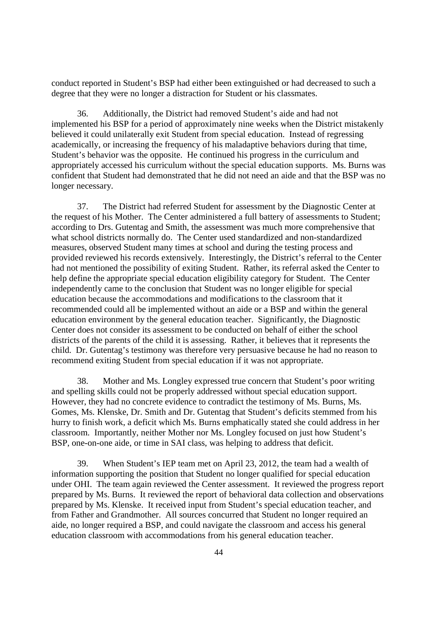conduct reported in Student's BSP had either been extinguished or had decreased to such a degree that they were no longer a distraction for Student or his classmates.

36. Additionally, the District had removed Student's aide and had not implemented his BSP for a period of approximately nine weeks when the District mistakenly believed it could unilaterally exit Student from special education. Instead of regressing academically, or increasing the frequency of his maladaptive behaviors during that time, Student's behavior was the opposite. He continued his progress in the curriculum and appropriately accessed his curriculum without the special education supports. Ms. Burns was confident that Student had demonstrated that he did not need an aide and that the BSP was no longer necessary.

37. The District had referred Student for assessment by the Diagnostic Center at the request of his Mother. The Center administered a full battery of assessments to Student; according to Drs. Gutentag and Smith, the assessment was much more comprehensive that what school districts normally do. The Center used standardized and non-standardized measures, observed Student many times at school and during the testing process and provided reviewed his records extensively. Interestingly, the District's referral to the Center had not mentioned the possibility of exiting Student. Rather, its referral asked the Center to help define the appropriate special education eligibility category for Student. The Center independently came to the conclusion that Student was no longer eligible for special education because the accommodations and modifications to the classroom that it recommended could all be implemented without an aide or a BSP and within the general education environment by the general education teacher. Significantly, the Diagnostic Center does not consider its assessment to be conducted on behalf of either the school districts of the parents of the child it is assessing. Rather, it believes that it represents the child. Dr. Gutentag's testimony was therefore very persuasive because he had no reason to recommend exiting Student from special education if it was not appropriate.

38. Mother and Ms. Longley expressed true concern that Student's poor writing and spelling skills could not be properly addressed without special education support. However, they had no concrete evidence to contradict the testimony of Ms. Burns, Ms. Gomes, Ms. Klenske, Dr. Smith and Dr. Gutentag that Student's deficits stemmed from his hurry to finish work, a deficit which Ms. Burns emphatically stated she could address in her classroom. Importantly, neither Mother nor Ms. Longley focused on just how Student's BSP, one-on-one aide, or time in SAI class, was helping to address that deficit.

39. When Student's IEP team met on April 23, 2012, the team had a wealth of information supporting the position that Student no longer qualified for special education under OHI. The team again reviewed the Center assessment. It reviewed the progress report prepared by Ms. Burns. It reviewed the report of behavioral data collection and observations prepared by Ms. Klenske. It received input from Student's special education teacher, and from Father and Grandmother. All sources concurred that Student no longer required an aide, no longer required a BSP, and could navigate the classroom and access his general education classroom with accommodations from his general education teacher.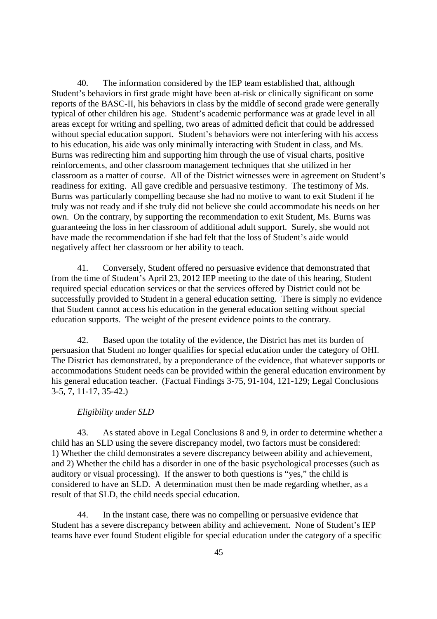40. The information considered by the IEP team established that, although Student's behaviors in first grade might have been at-risk or clinically significant on some reports of the BASC-II, his behaviors in class by the middle of second grade were generally typical of other children his age. Student's academic performance was at grade level in all areas except for writing and spelling, two areas of admitted deficit that could be addressed without special education support. Student's behaviors were not interfering with his access to his education, his aide was only minimally interacting with Student in class, and Ms. Burns was redirecting him and supporting him through the use of visual charts, positive reinforcements, and other classroom management techniques that she utilized in her classroom as a matter of course. All of the District witnesses were in agreement on Student's readiness for exiting. All gave credible and persuasive testimony. The testimony of Ms. Burns was particularly compelling because she had no motive to want to exit Student if he truly was not ready and if she truly did not believe she could accommodate his needs on her own. On the contrary, by supporting the recommendation to exit Student, Ms. Burns was guaranteeing the loss in her classroom of additional adult support. Surely, she would not have made the recommendation if she had felt that the loss of Student's aide would negatively affect her classroom or her ability to teach.

41. Conversely, Student offered no persuasive evidence that demonstrated that from the time of Student's April 23, 2012 IEP meeting to the date of this hearing, Student required special education services or that the services offered by District could not be successfully provided to Student in a general education setting. There is simply no evidence that Student cannot access his education in the general education setting without special education supports. The weight of the present evidence points to the contrary.

42. Based upon the totality of the evidence, the District has met its burden of persuasion that Student no longer qualifies for special education under the category of OHI. The District has demonstrated, by a preponderance of the evidence, that whatever supports or accommodations Student needs can be provided within the general education environment by his general education teacher. (Factual Findings 3-75, 91-104, 121-129; Legal Conclusions 3-5, 7, 11-17, 35-42.)

## *Eligibility under SLD*

43. As stated above in Legal Conclusions 8 and 9, in order to determine whether a child has an SLD using the severe discrepancy model, two factors must be considered: 1) Whether the child demonstrates a severe discrepancy between ability and achievement, and 2) Whether the child has a disorder in one of the basic psychological processes (such as auditory or visual processing). If the answer to both questions is "yes," the child is considered to have an SLD. A determination must then be made regarding whether, as a result of that SLD, the child needs special education.

44. In the instant case, there was no compelling or persuasive evidence that Student has a severe discrepancy between ability and achievement. None of Student's IEP teams have ever found Student eligible for special education under the category of a specific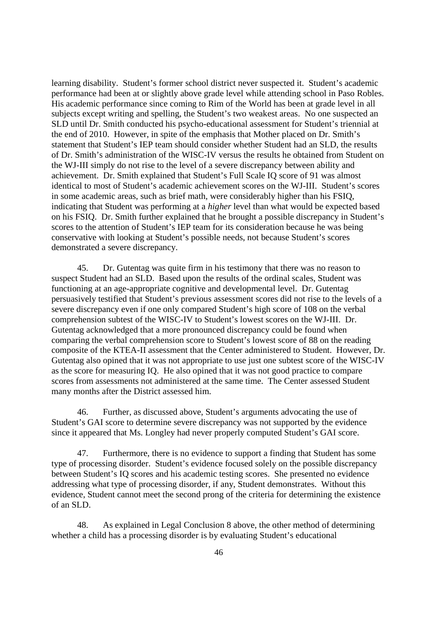learning disability. Student's former school district never suspected it. Student's academic performance had been at or slightly above grade level while attending school in Paso Robles. His academic performance since coming to Rim of the World has been at grade level in all subjects except writing and spelling, the Student's two weakest areas. No one suspected an SLD until Dr. Smith conducted his psycho-educational assessment for Student's triennial at the end of 2010. However, in spite of the emphasis that Mother placed on Dr. Smith's statement that Student's IEP team should consider whether Student had an SLD, the results of Dr. Smith's administration of the WISC-IV versus the results he obtained from Student on the WJ-III simply do not rise to the level of a severe discrepancy between ability and achievement. Dr. Smith explained that Student's Full Scale IQ score of 91 was almost identical to most of Student's academic achievement scores on the WJ-III. Student's scores in some academic areas, such as brief math, were considerably higher than his FSIQ, indicating that Student was performing at a *higher* level than what would be expected based on his FSIQ. Dr. Smith further explained that he brought a possible discrepancy in Student's scores to the attention of Student's IEP team for its consideration because he was being conservative with looking at Student's possible needs, not because Student's scores demonstrated a severe discrepancy.

45. Dr. Gutentag was quite firm in his testimony that there was no reason to suspect Student had an SLD. Based upon the results of the ordinal scales, Student was functioning at an age-appropriate cognitive and developmental level. Dr. Gutentag persuasively testified that Student's previous assessment scores did not rise to the levels of a severe discrepancy even if one only compared Student's high score of 108 on the verbal comprehension subtest of the WISC-IV to Student's lowest scores on the WJ-III. Dr. Gutentag acknowledged that a more pronounced discrepancy could be found when comparing the verbal comprehension score to Student's lowest score of 88 on the reading composite of the KTEA-II assessment that the Center administered to Student. However, Dr. Gutentag also opined that it was not appropriate to use just one subtest score of the WISC-IV as the score for measuring IQ. He also opined that it was not good practice to compare scores from assessments not administered at the same time. The Center assessed Student many months after the District assessed him.

46. Further, as discussed above, Student's arguments advocating the use of Student's GAI score to determine severe discrepancy was not supported by the evidence since it appeared that Ms. Longley had never properly computed Student's GAI score.

47. Furthermore, there is no evidence to support a finding that Student has some type of processing disorder. Student's evidence focused solely on the possible discrepancy between Student's IQ scores and his academic testing scores. She presented no evidence addressing what type of processing disorder, if any, Student demonstrates. Without this evidence, Student cannot meet the second prong of the criteria for determining the existence of an SLD.

48. As explained in Legal Conclusion 8 above, the other method of determining whether a child has a processing disorder is by evaluating Student's educational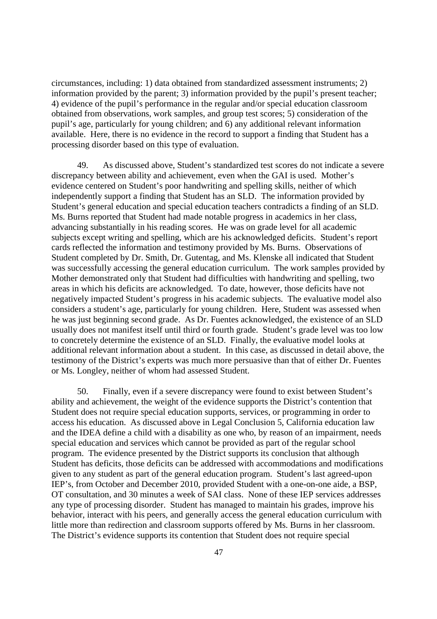circumstances, including: 1) data obtained from standardized assessment instruments; 2) information provided by the parent; 3) information provided by the pupil's present teacher; 4) evidence of the pupil's performance in the regular and/or special education classroom obtained from observations, work samples, and group test scores; 5) consideration of the pupil's age, particularly for young children; and 6) any additional relevant information available. Here, there is no evidence in the record to support a finding that Student has a processing disorder based on this type of evaluation.

49. As discussed above, Student's standardized test scores do not indicate a severe discrepancy between ability and achievement, even when the GAI is used. Mother's evidence centered on Student's poor handwriting and spelling skills, neither of which independently support a finding that Student has an SLD. The information provided by Student's general education and special education teachers contradicts a finding of an SLD. Ms. Burns reported that Student had made notable progress in academics in her class, advancing substantially in his reading scores. He was on grade level for all academic subjects except writing and spelling, which are his acknowledged deficits. Student's report cards reflected the information and testimony provided by Ms. Burns. Observations of Student completed by Dr. Smith, Dr. Gutentag, and Ms. Klenske all indicated that Student was successfully accessing the general education curriculum. The work samples provided by Mother demonstrated only that Student had difficulties with handwriting and spelling, two areas in which his deficits are acknowledged. To date, however, those deficits have not negatively impacted Student's progress in his academic subjects. The evaluative model also considers a student's age, particularly for young children. Here, Student was assessed when he was just beginning second grade. As Dr. Fuentes acknowledged, the existence of an SLD usually does not manifest itself until third or fourth grade. Student's grade level was too low to concretely determine the existence of an SLD. Finally, the evaluative model looks at additional relevant information about a student. In this case, as discussed in detail above, the testimony of the District's experts was much more persuasive than that of either Dr. Fuentes or Ms. Longley, neither of whom had assessed Student.

50. Finally, even if a severe discrepancy were found to exist between Student's ability and achievement, the weight of the evidence supports the District's contention that Student does not require special education supports, services, or programming in order to access his education. As discussed above in Legal Conclusion 5, California education law and the IDEA define a child with a disability as one who, by reason of an impairment, needs special education and services which cannot be provided as part of the regular school program. The evidence presented by the District supports its conclusion that although Student has deficits, those deficits can be addressed with accommodations and modifications given to any student as part of the general education program. Student's last agreed-upon IEP's, from October and December 2010, provided Student with a one-on-one aide, a BSP, OT consultation, and 30 minutes a week of SAI class. None of these IEP services addresses any type of processing disorder. Student has managed to maintain his grades, improve his behavior, interact with his peers, and generally access the general education curriculum with little more than redirection and classroom supports offered by Ms. Burns in her classroom. The District's evidence supports its contention that Student does not require special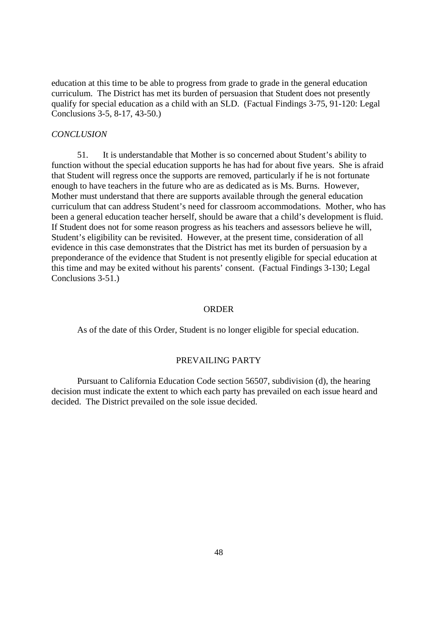education at this time to be able to progress from grade to grade in the general education curriculum. The District has met its burden of persuasion that Student does not presently qualify for special education as a child with an SLD. (Factual Findings 3-75, 91-120: Legal Conclusions 3-5, 8-17, 43-50.)

#### *CONCLUSION*

51. It is understandable that Mother is so concerned about Student's ability to function without the special education supports he has had for about five years. She is afraid that Student will regress once the supports are removed, particularly if he is not fortunate enough to have teachers in the future who are as dedicated as is Ms. Burns. However, Mother must understand that there are supports available through the general education curriculum that can address Student's need for classroom accommodations. Mother, who has been a general education teacher herself, should be aware that a child's development is fluid. If Student does not for some reason progress as his teachers and assessors believe he will, Student's eligibility can be revisited. However, at the present time, consideration of all evidence in this case demonstrates that the District has met its burden of persuasion by a preponderance of the evidence that Student is not presently eligible for special education at this time and may be exited without his parents' consent. (Factual Findings 3-130; Legal Conclusions 3-51.)

#### ORDER

As of the date of this Order, Student is no longer eligible for special education.

#### PREVAILING PARTY

Pursuant to California Education Code section 56507, subdivision (d), the hearing decision must indicate the extent to which each party has prevailed on each issue heard and decided. The District prevailed on the sole issue decided.